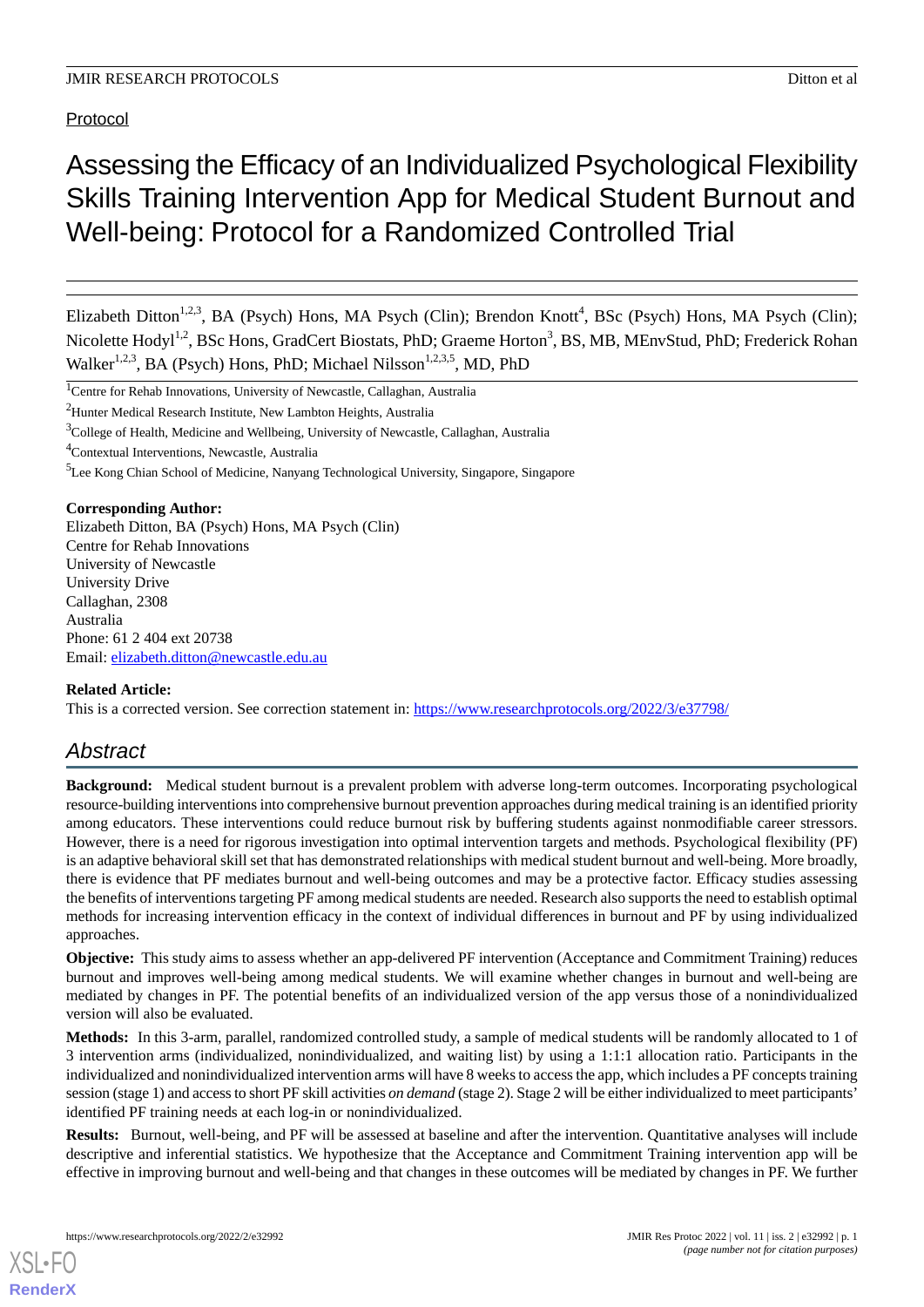Protocol

# Assessing the Efficacy of an Individualized Psychological Flexibility Skills Training Intervention App for Medical Student Burnout and Well-being: Protocol for a Randomized Controlled Trial

Elizabeth Ditton<sup>1,2,3</sup>, BA (Psych) Hons, MA Psych (Clin); Brendon Knott<sup>4</sup>, BSc (Psych) Hons, MA Psych (Clin); Nicolette Hodyl<sup>1,2</sup>, BSc Hons, GradCert Biostats, PhD; Graeme Horton<sup>3</sup>, BS, MB, MEnvStud, PhD; Frederick Rohan Walker<sup>1,2,3</sup>, BA (Psych) Hons, PhD; Michael Nilsson<sup>1,2,3,5</sup>, MD, PhD

<sup>1</sup>Centre for Rehab Innovations, University of Newcastle, Callaghan, Australia

<sup>2</sup>Hunter Medical Research Institute, New Lambton Heights, Australia

<sup>3</sup>College of Health, Medicine and Wellbeing, University of Newcastle, Callaghan, Australia

<sup>4</sup>Contextual Interventions, Newcastle, Australia

<sup>5</sup>Lee Kong Chian School of Medicine, Nanyang Technological University, Singapore, Singapore

#### **Corresponding Author:**

Elizabeth Ditton, BA (Psych) Hons, MA Psych (Clin) Centre for Rehab Innovations University of Newcastle University Drive Callaghan, 2308 Australia Phone: 61 2 404 ext 20738 Email: [elizabeth.ditton@newcastle.edu.au](mailto:elizabeth.ditton@newcastle.edu.au)

#### **Related Article:**

This is a corrected version. See correction statement in: <https://www.researchprotocols.org/2022/3/e37798/>

# *Abstract*

**Background:** Medical student burnout is a prevalent problem with adverse long-term outcomes. Incorporating psychological resource-building interventions into comprehensive burnout prevention approaches during medical training is an identified priority among educators. These interventions could reduce burnout risk by buffering students against nonmodifiable career stressors. However, there is a need for rigorous investigation into optimal intervention targets and methods. Psychological flexibility (PF) is an adaptive behavioral skill set that has demonstrated relationships with medical student burnout and well-being. More broadly, there is evidence that PF mediates burnout and well-being outcomes and may be a protective factor. Efficacy studies assessing the benefits of interventions targeting PF among medical students are needed. Research also supports the need to establish optimal methods for increasing intervention efficacy in the context of individual differences in burnout and PF by using individualized approaches.

**Objective:** This study aims to assess whether an app-delivered PF intervention (Acceptance and Commitment Training) reduces burnout and improves well-being among medical students. We will examine whether changes in burnout and well-being are mediated by changes in PF. The potential benefits of an individualized version of the app versus those of a nonindividualized version will also be evaluated.

**Methods:** In this 3-arm, parallel, randomized controlled study, a sample of medical students will be randomly allocated to 1 of 3 intervention arms (individualized, nonindividualized, and waiting list) by using a 1:1:1 allocation ratio. Participants in the individualized and nonindividualized intervention arms will have 8 weeks to access the app, which includes a PF concepts training session (stage 1) and access to short PF skill activities *on demand* (stage 2). Stage 2 will be either individualized to meet participants' identified PF training needs at each log-in or nonindividualized.

**Results:** Burnout, well-being, and PF will be assessed at baseline and after the intervention. Quantitative analyses will include descriptive and inferential statistics. We hypothesize that the Acceptance and Commitment Training intervention app will be effective in improving burnout and well-being and that changes in these outcomes will be mediated by changes in PF. We further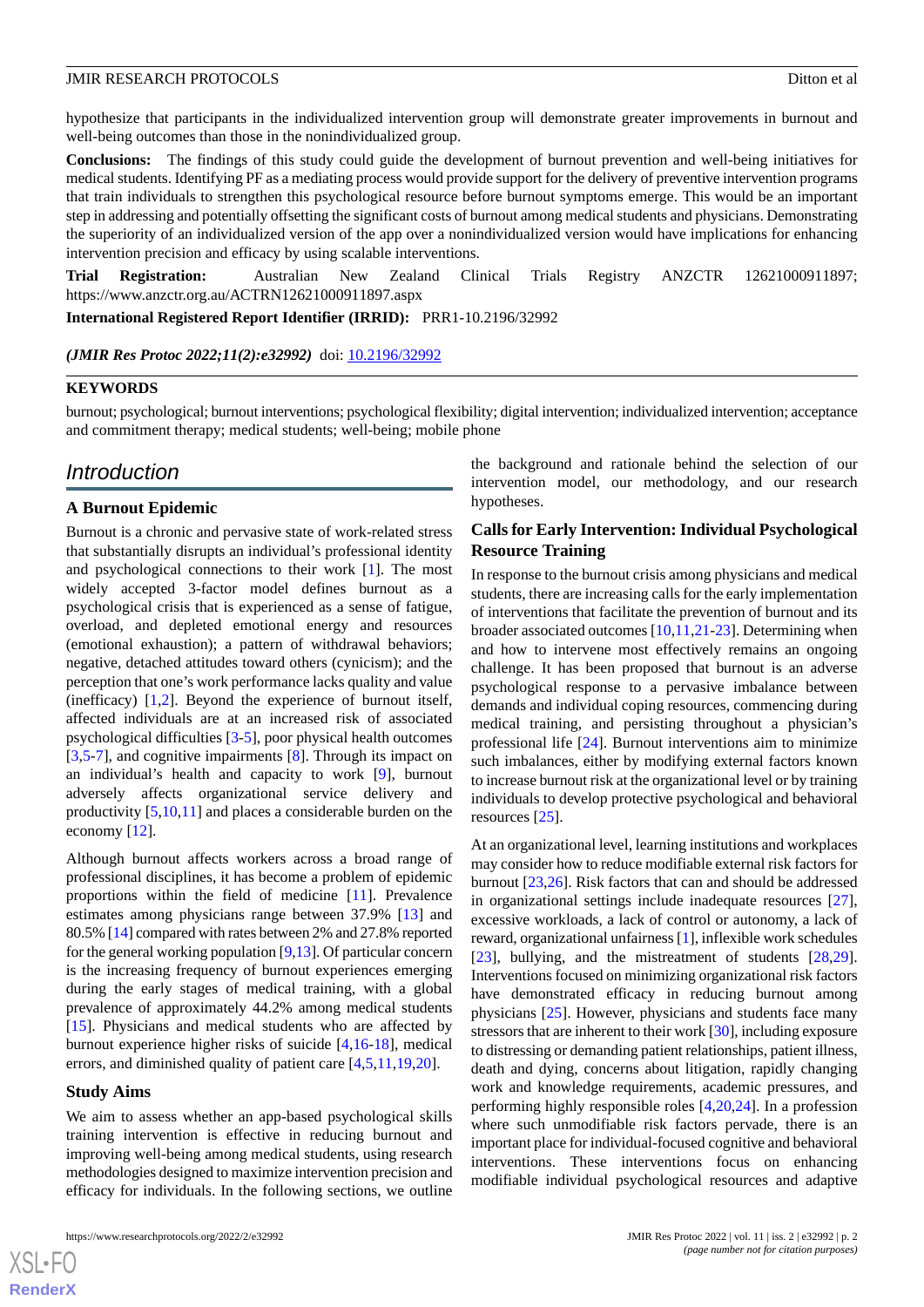hypothesize that participants in the individualized intervention group will demonstrate greater improvements in burnout and well-being outcomes than those in the nonindividualized group.

**Conclusions:** The findings of this study could guide the development of burnout prevention and well-being initiatives for medical students. Identifying PF as a mediating process would provide support for the delivery of preventive intervention programs that train individuals to strengthen this psychological resource before burnout symptoms emerge. This would be an important step in addressing and potentially offsetting the significant costs of burnout among medical students and physicians. Demonstrating the superiority of an individualized version of the app over a nonindividualized version would have implications for enhancing intervention precision and efficacy by using scalable interventions.

**Trial Registration:** Australian New Zealand Clinical Trials Registry ANZCTR 12621000911897; https://www.anzctr.org.au/ACTRN12621000911897.aspx

**International Registered Report Identifier (IRRID):** PRR1-10.2196/32992

(JMIR Res Protoc 2022;11(2):e32992) doi: [10.2196/32992](http://dx.doi.org/10.2196/32992)

#### **KEYWORDS**

burnout; psychological; burnout interventions; psychological flexibility; digital intervention; individualized intervention; acceptance and commitment therapy; medical students; well-being; mobile phone

# *Introduction*

#### **A Burnout Epidemic**

Burnout is a chronic and pervasive state of work-related stress that substantially disrupts an individual's professional identity and psychological connections to their work [[1\]](#page-10-0). The most widely accepted 3-factor model defines burnout as a psychological crisis that is experienced as a sense of fatigue, overload, and depleted emotional energy and resources (emotional exhaustion); a pattern of withdrawal behaviors; negative, detached attitudes toward others (cynicism); and the perception that one's work performance lacks quality and value (inefficacy)  $[1,2]$  $[1,2]$  $[1,2]$  $[1,2]$ . Beyond the experience of burnout itself, affected individuals are at an increased risk of associated psychological difficulties [[3](#page-10-2)[-5](#page-10-3)], poor physical health outcomes [[3](#page-10-2)[,5](#page-10-3)-[7\]](#page-10-4), and cognitive impairments [\[8](#page-10-5)]. Through its impact on an individual's health and capacity to work [[9\]](#page-10-6), burnout adversely affects organizational service delivery and productivity [[5](#page-10-3)[,10](#page-10-7),[11\]](#page-10-8) and places a considerable burden on the economy [\[12](#page-10-9)].

Although burnout affects workers across a broad range of professional disciplines, it has become a problem of epidemic proportions within the field of medicine [[11\]](#page-10-8). Prevalence estimates among physicians range between 37.9% [[13\]](#page-10-10) and 80.5% [[14](#page-10-11)] compared with rates between 2% and 27.8% reported for the general working population [\[9](#page-10-6),[13](#page-10-10)]. Of particular concern is the increasing frequency of burnout experiences emerging during the early stages of medical training, with a global prevalence of approximately 44.2% among medical students [[15\]](#page-10-12). Physicians and medical students who are affected by burnout experience higher risks of suicide [\[4](#page-10-13),[16-](#page-10-14)[18\]](#page-11-0), medical errors, and diminished quality of patient care [\[4](#page-10-13),[5](#page-10-3)[,11](#page-10-8),[19,](#page-11-1)[20](#page-11-2)].

#### **Study Aims**

We aim to assess whether an app-based psychological skills training intervention is effective in reducing burnout and improving well-being among medical students, using research methodologies designed to maximize intervention precision and efficacy for individuals. In the following sections, we outline

the background and rationale behind the selection of our intervention model, our methodology, and our research hypotheses.

# **Calls for Early Intervention: Individual Psychological Resource Training**

In response to the burnout crisis among physicians and medical students, there are increasing calls for the early implementation of interventions that facilitate the prevention of burnout and its broader associated outcomes [[10,](#page-10-7)[11](#page-10-8),[21-](#page-11-3)[23\]](#page-11-4). Determining when and how to intervene most effectively remains an ongoing challenge. It has been proposed that burnout is an adverse psychological response to a pervasive imbalance between demands and individual coping resources, commencing during medical training, and persisting throughout a physician's professional life [[24\]](#page-11-5). Burnout interventions aim to minimize such imbalances, either by modifying external factors known to increase burnout risk at the organizational level or by training individuals to develop protective psychological and behavioral resources [\[25](#page-11-6)].

At an organizational level, learning institutions and workplaces may consider how to reduce modifiable external risk factors for burnout [\[23](#page-11-4),[26\]](#page-11-7). Risk factors that can and should be addressed in organizational settings include inadequate resources [[27\]](#page-11-8), excessive workloads, a lack of control or autonomy, a lack of reward, organizational unfairness [[1](#page-10-0)], inflexible work schedules [[23\]](#page-11-4), bullying, and the mistreatment of students [\[28](#page-11-9),[29\]](#page-11-10). Interventions focused on minimizing organizational risk factors have demonstrated efficacy in reducing burnout among physicians [\[25](#page-11-6)]. However, physicians and students face many stressors that are inherent to their work [\[30](#page-11-11)], including exposure to distressing or demanding patient relationships, patient illness, death and dying, concerns about litigation, rapidly changing work and knowledge requirements, academic pressures, and performing highly responsible roles [[4](#page-10-13)[,20](#page-11-2),[24\]](#page-11-5). In a profession where such unmodifiable risk factors pervade, there is an important place for individual-focused cognitive and behavioral interventions. These interventions focus on enhancing modifiable individual psychological resources and adaptive

 $XS$  • FO **[RenderX](http://www.renderx.com/)**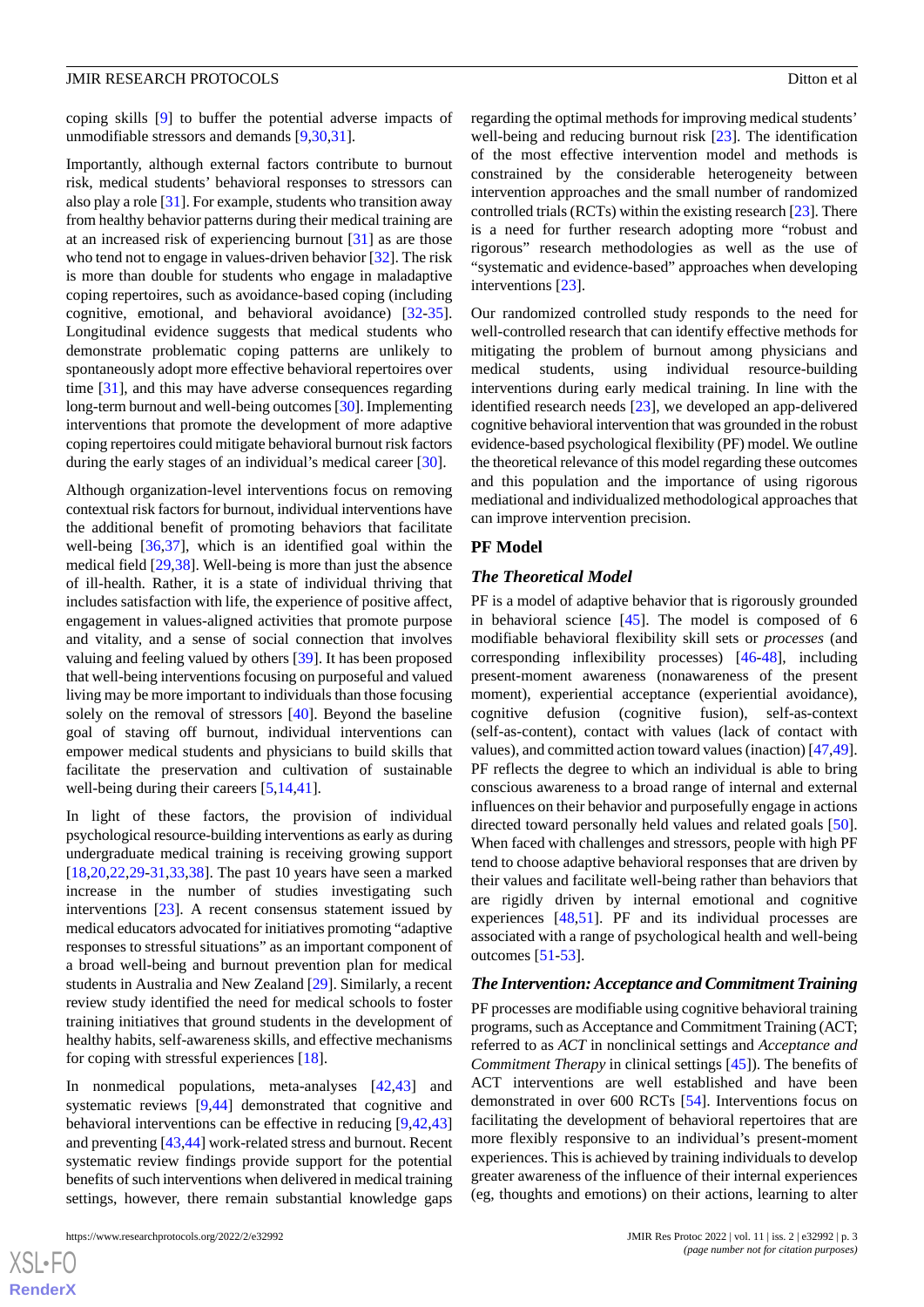coping skills [\[9](#page-10-6)] to buffer the potential adverse impacts of unmodifiable stressors and demands [\[9](#page-10-6),[30](#page-11-11)[,31](#page-11-12)].

Importantly, although external factors contribute to burnout risk, medical students' behavioral responses to stressors can also play a role [[31\]](#page-11-12). For example, students who transition away from healthy behavior patterns during their medical training are at an increased risk of experiencing burnout [[31\]](#page-11-12) as are those who tend not to engage in values-driven behavior [\[32](#page-11-13)]. The risk is more than double for students who engage in maladaptive coping repertoires, such as avoidance-based coping (including cognitive, emotional, and behavioral avoidance) [\[32](#page-11-13)-[35\]](#page-11-14). Longitudinal evidence suggests that medical students who demonstrate problematic coping patterns are unlikely to spontaneously adopt more effective behavioral repertoires over time [[31\]](#page-11-12), and this may have adverse consequences regarding long-term burnout and well-being outcomes [[30\]](#page-11-11). Implementing interventions that promote the development of more adaptive coping repertoires could mitigate behavioral burnout risk factors during the early stages of an individual's medical career [[30\]](#page-11-11).

Although organization-level interventions focus on removing contextual risk factors for burnout, individual interventions have the additional benefit of promoting behaviors that facilitate well-being [[36,](#page-11-15)[37](#page-11-16)], which is an identified goal within the medical field [\[29](#page-11-10),[38\]](#page-11-17). Well-being is more than just the absence of ill-health. Rather, it is a state of individual thriving that includes satisfaction with life, the experience of positive affect, engagement in values-aligned activities that promote purpose and vitality, and a sense of social connection that involves valuing and feeling valued by others [[39\]](#page-11-18). It has been proposed that well-being interventions focusing on purposeful and valued living may be more important to individuals than those focusing solely on the removal of stressors [[40\]](#page-11-19). Beyond the baseline goal of staving off burnout, individual interventions can empower medical students and physicians to build skills that facilitate the preservation and cultivation of sustainable well-being during their careers [\[5](#page-10-3),[14](#page-10-11)[,41](#page-12-0)].

In light of these factors, the provision of individual psychological resource-building interventions as early as during undergraduate medical training is receiving growing support [[18](#page-11-0)[,20](#page-11-2),[22](#page-11-20)[,29](#page-11-10)-[31,](#page-11-12)[33](#page-11-21),[38\]](#page-11-17). The past 10 years have seen a marked increase in the number of studies investigating such interventions [\[23](#page-11-4)]. A recent consensus statement issued by medical educators advocated for initiatives promoting "adaptive responses to stressful situations" as an important component of a broad well-being and burnout prevention plan for medical students in Australia and New Zealand [\[29](#page-11-10)]. Similarly, a recent review study identified the need for medical schools to foster training initiatives that ground students in the development of healthy habits, self-awareness skills, and effective mechanisms for coping with stressful experiences [\[18](#page-11-0)].

In nonmedical populations, meta-analyses [\[42](#page-12-1),[43\]](#page-12-2) and systematic reviews [\[9](#page-10-6),[44\]](#page-12-3) demonstrated that cognitive and behavioral interventions can be effective in reducing [\[9](#page-10-6),[42](#page-12-1)[,43](#page-12-2)] and preventing [[43](#page-12-2)[,44](#page-12-3)] work-related stress and burnout. Recent systematic review findings provide support for the potential benefits of such interventions when delivered in medical training settings, however, there remain substantial knowledge gaps

regarding the optimal methods for improving medical students' well-being and reducing burnout risk [[23\]](#page-11-4). The identification of the most effective intervention model and methods is constrained by the considerable heterogeneity between intervention approaches and the small number of randomized controlled trials (RCTs) within the existing research [\[23\]](#page-11-4). There is a need for further research adopting more "robust and rigorous" research methodologies as well as the use of "systematic and evidence-based" approaches when developing interventions [[23\]](#page-11-4).

Our randomized controlled study responds to the need for well-controlled research that can identify effective methods for mitigating the problem of burnout among physicians and medical students, using individual resource-building interventions during early medical training. In line with the identified research needs [[23\]](#page-11-4), we developed an app-delivered cognitive behavioral intervention that was grounded in the robust evidence-based psychological flexibility (PF) model. We outline the theoretical relevance of this model regarding these outcomes and this population and the importance of using rigorous mediational and individualized methodological approaches that can improve intervention precision.

#### **PF Model**

#### *The Theoretical Model*

PF is a model of adaptive behavior that is rigorously grounded in behavioral science [[45\]](#page-12-4). The model is composed of 6 modifiable behavioral flexibility skill sets or *processes* (and corresponding inflexibility processes) [[46-](#page-12-5)[48\]](#page-12-6), including present-moment awareness (nonawareness of the present moment), experiential acceptance (experiential avoidance), cognitive defusion (cognitive fusion), self-as-context (self-as-content), contact with values (lack of contact with values), and committed action toward values (inaction) [\[47](#page-12-7),[49\]](#page-12-8). PF reflects the degree to which an individual is able to bring conscious awareness to a broad range of internal and external influences on their behavior and purposefully engage in actions directed toward personally held values and related goals [[50\]](#page-12-9). When faced with challenges and stressors, people with high PF tend to choose adaptive behavioral responses that are driven by their values and facilitate well-being rather than behaviors that are rigidly driven by internal emotional and cognitive experiences [\[48](#page-12-6),[51\]](#page-12-10). PF and its individual processes are associated with a range of psychological health and well-being outcomes [[51-](#page-12-10)[53](#page-12-11)].

#### *The Intervention: Acceptance and Commitment Training*

PF processes are modifiable using cognitive behavioral training programs, such as Acceptance and Commitment Training (ACT; referred to as *ACT* in nonclinical settings and *Acceptance and Commitment Therapy* in clinical settings [\[45](#page-12-4)]). The benefits of ACT interventions are well established and have been demonstrated in over 600 RCTs [\[54](#page-12-12)]. Interventions focus on facilitating the development of behavioral repertoires that are more flexibly responsive to an individual's present-moment experiences. This is achieved by training individuals to develop greater awareness of the influence of their internal experiences (eg, thoughts and emotions) on their actions, learning to alter

```
XS\cdotFC
RenderX
```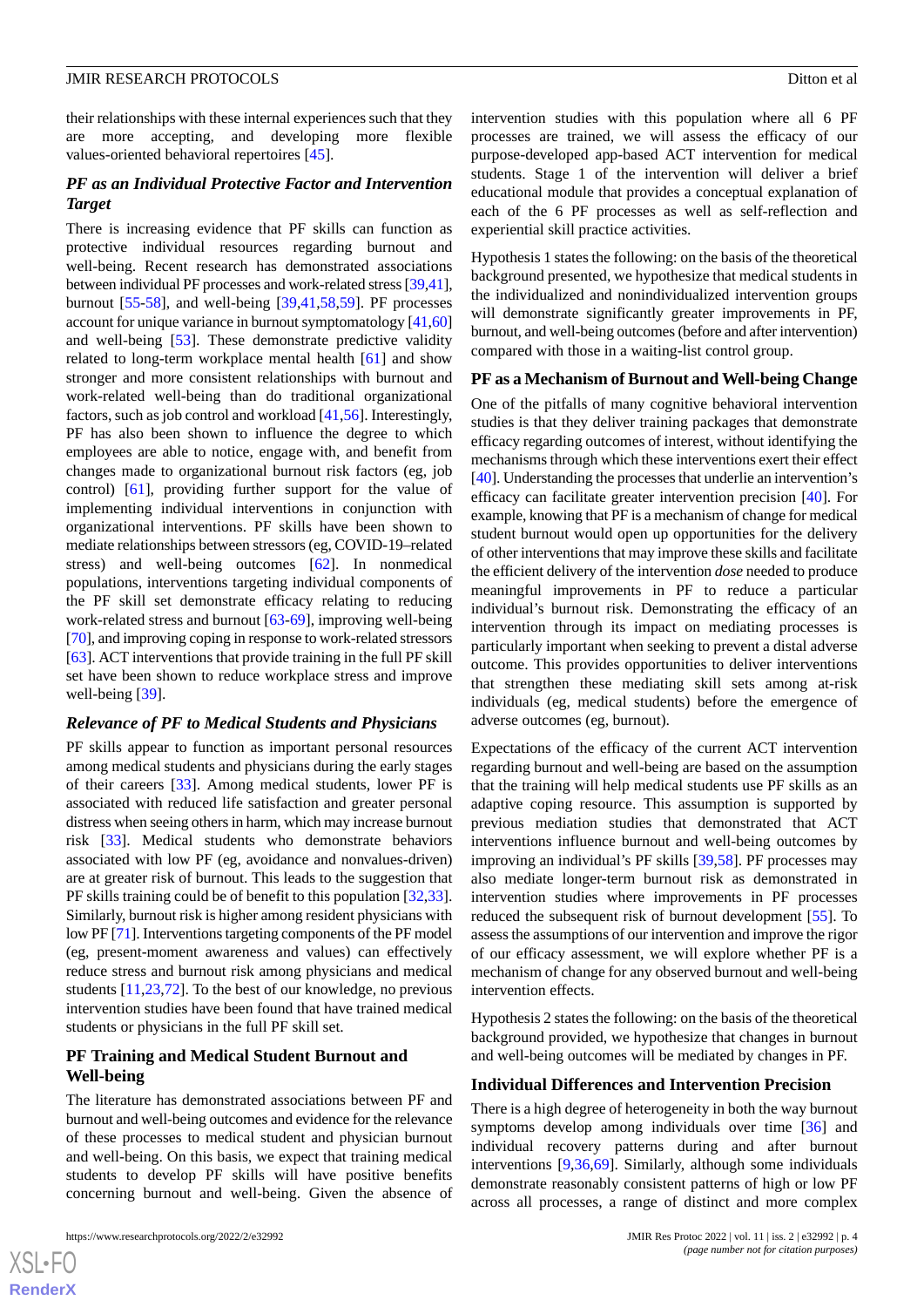their relationships with these internal experiences such that they are more accepting, and developing more flexible values-oriented behavioral repertoires [[45\]](#page-12-4).

# *PF as an Individual Protective Factor and Intervention Target*

There is increasing evidence that PF skills can function as protective individual resources regarding burnout and well-being. Recent research has demonstrated associations between individual PF processes and work-related stress [\[39](#page-11-18)[,41\]](#page-12-0), burnout [\[55](#page-12-13)-[58\]](#page-12-14), and well-being [\[39](#page-11-18),[41](#page-12-0)[,58](#page-12-14),[59\]](#page-12-15). PF processes account for unique variance in burnout symptomatology [\[41](#page-12-0)[,60](#page-12-16)] and well-being [\[53](#page-12-11)]. These demonstrate predictive validity related to long-term workplace mental health [[61\]](#page-12-17) and show stronger and more consistent relationships with burnout and work-related well-being than do traditional organizational factors, such as job control and workload [[41,](#page-12-0)[56\]](#page-12-18). Interestingly, PF has also been shown to influence the degree to which employees are able to notice, engage with, and benefit from changes made to organizational burnout risk factors (eg, job control) [[61\]](#page-12-17), providing further support for the value of implementing individual interventions in conjunction with organizational interventions. PF skills have been shown to mediate relationships between stressors (eg, COVID-19–related stress) and well-being outcomes [[62\]](#page-12-19). In nonmedical populations, interventions targeting individual components of the PF skill set demonstrate efficacy relating to reducing work-related stress and burnout [[63-](#page-12-20)[69\]](#page-13-0), improving well-being [[70\]](#page-13-1), and improving coping in response to work-related stressors [[63\]](#page-12-20). ACT interventions that provide training in the full PF skill set have been shown to reduce workplace stress and improve well-being [\[39](#page-11-18)].

#### *Relevance of PF to Medical Students and Physicians*

PF skills appear to function as important personal resources among medical students and physicians during the early stages of their careers [\[33](#page-11-21)]. Among medical students, lower PF is associated with reduced life satisfaction and greater personal distress when seeing others in harm, which may increase burnout risk [\[33](#page-11-21)]. Medical students who demonstrate behaviors associated with low PF (eg, avoidance and nonvalues-driven) are at greater risk of burnout. This leads to the suggestion that PF skills training could be of benefit to this population [\[32](#page-11-13),[33\]](#page-11-21). Similarly, burnout risk is higher among resident physicians with low PF [[71\]](#page-13-2). Interventions targeting components of the PF model (eg, present-moment awareness and values) can effectively reduce stress and burnout risk among physicians and medical students [\[11](#page-10-8),[23,](#page-11-4)[72](#page-13-3)]. To the best of our knowledge, no previous intervention studies have been found that have trained medical students or physicians in the full PF skill set.

# **PF Training and Medical Student Burnout and Well-being**

The literature has demonstrated associations between PF and burnout and well-being outcomes and evidence for the relevance of these processes to medical student and physician burnout and well-being. On this basis, we expect that training medical students to develop PF skills will have positive benefits concerning burnout and well-being. Given the absence of intervention studies with this population where all 6 PF processes are trained, we will assess the efficacy of our purpose-developed app-based ACT intervention for medical students. Stage 1 of the intervention will deliver a brief educational module that provides a conceptual explanation of each of the 6 PF processes as well as self-reflection and experiential skill practice activities.

Hypothesis 1 states the following: on the basis of the theoretical background presented, we hypothesize that medical students in the individualized and nonindividualized intervention groups will demonstrate significantly greater improvements in PF, burnout, and well-being outcomes (before and after intervention) compared with those in a waiting-list control group.

#### **PF as a Mechanism of Burnout and Well-being Change**

One of the pitfalls of many cognitive behavioral intervention studies is that they deliver training packages that demonstrate efficacy regarding outcomes of interest, without identifying the mechanisms through which these interventions exert their effect [[40\]](#page-11-19). Understanding the processes that underlie an intervention's efficacy can facilitate greater intervention precision [[40\]](#page-11-19). For example, knowing that PF is a mechanism of change for medical student burnout would open up opportunities for the delivery of other interventions that may improve these skills and facilitate the efficient delivery of the intervention *dose* needed to produce meaningful improvements in PF to reduce a particular individual's burnout risk. Demonstrating the efficacy of an intervention through its impact on mediating processes is particularly important when seeking to prevent a distal adverse outcome. This provides opportunities to deliver interventions that strengthen these mediating skill sets among at-risk individuals (eg, medical students) before the emergence of adverse outcomes (eg, burnout).

Expectations of the efficacy of the current ACT intervention regarding burnout and well-being are based on the assumption that the training will help medical students use PF skills as an adaptive coping resource. This assumption is supported by previous mediation studies that demonstrated that ACT interventions influence burnout and well-being outcomes by improving an individual's PF skills [\[39](#page-11-18)[,58](#page-12-14)]. PF processes may also mediate longer-term burnout risk as demonstrated in intervention studies where improvements in PF processes reduced the subsequent risk of burnout development [\[55](#page-12-13)]. To assess the assumptions of our intervention and improve the rigor of our efficacy assessment, we will explore whether PF is a mechanism of change for any observed burnout and well-being intervention effects.

Hypothesis 2 states the following: on the basis of the theoretical background provided, we hypothesize that changes in burnout and well-being outcomes will be mediated by changes in PF.

#### **Individual Differences and Intervention Precision**

There is a high degree of heterogeneity in both the way burnout symptoms develop among individuals over time [\[36](#page-11-15)] and individual recovery patterns during and after burnout interventions [[9,](#page-10-6)[36](#page-11-15),[69\]](#page-13-0). Similarly, although some individuals demonstrate reasonably consistent patterns of high or low PF across all processes, a range of distinct and more complex

 $XS$  $\cdot$ FC **[RenderX](http://www.renderx.com/)**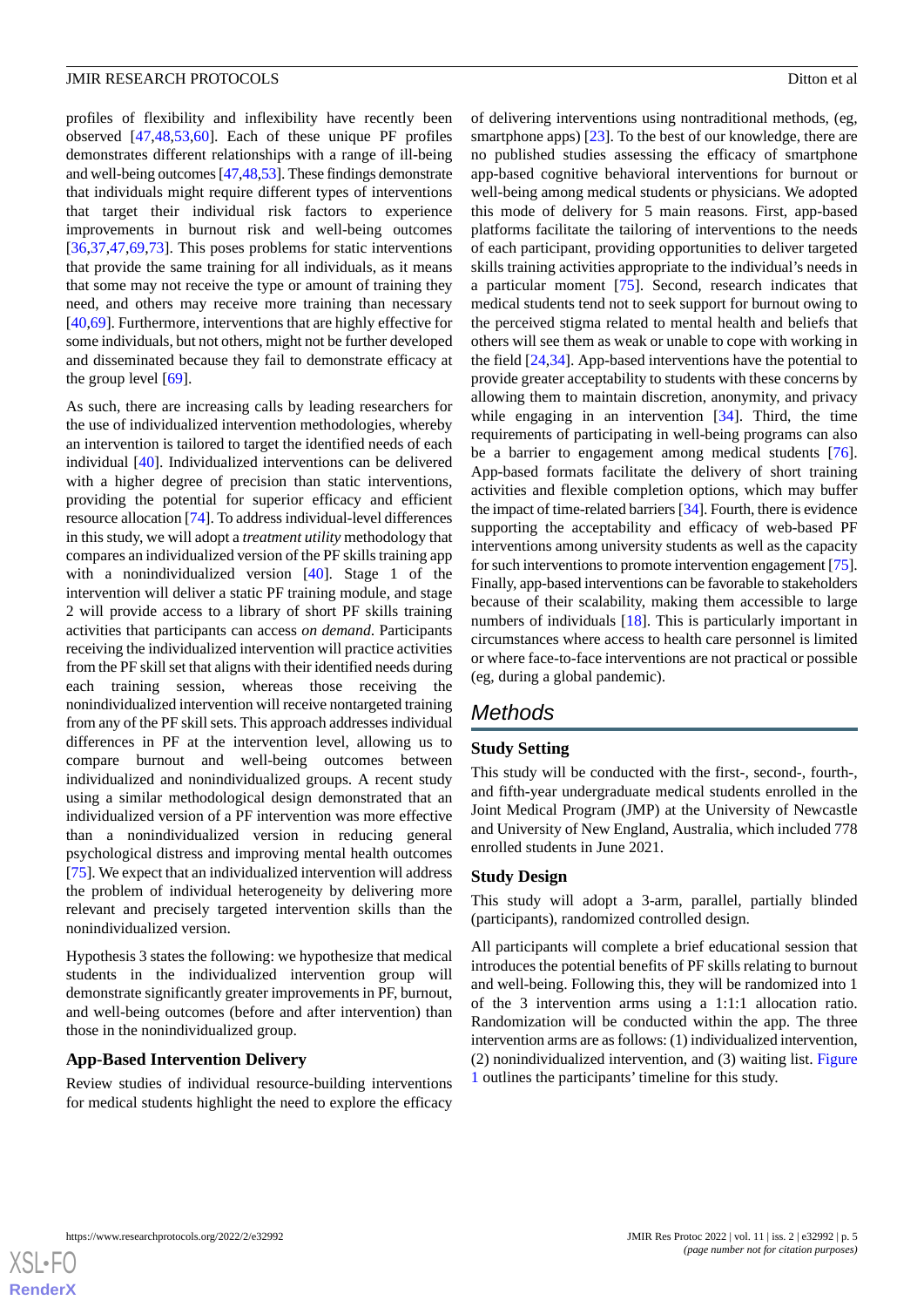profiles of flexibility and inflexibility have recently been observed [\[47](#page-12-7),[48](#page-12-6)[,53](#page-12-11),[60\]](#page-12-16). Each of these unique PF profiles demonstrates different relationships with a range of ill-being and well-being outcomes [\[47](#page-12-7)[,48](#page-12-6)[,53](#page-12-11)]. These findings demonstrate that individuals might require different types of interventions that target their individual risk factors to experience improvements in burnout risk and well-being outcomes [[36](#page-11-15)[,37](#page-11-16),[47](#page-12-7)[,69](#page-13-0),[73\]](#page-13-4). This poses problems for static interventions that provide the same training for all individuals, as it means that some may not receive the type or amount of training they need, and others may receive more training than necessary [[40](#page-11-19)[,69](#page-13-0)]. Furthermore, interventions that are highly effective for some individuals, but not others, might not be further developed and disseminated because they fail to demonstrate efficacy at the group level [[69\]](#page-13-0).

As such, there are increasing calls by leading researchers for the use of individualized intervention methodologies, whereby an intervention is tailored to target the identified needs of each individual [[40\]](#page-11-19). Individualized interventions can be delivered with a higher degree of precision than static interventions, providing the potential for superior efficacy and efficient resource allocation [\[74](#page-13-5)]. To address individual-level differences in this study, we will adopt a *treatment utility* methodology that compares an individualized version of the PF skills training app with a nonindividualized version [[40\]](#page-11-19). Stage 1 of the intervention will deliver a static PF training module, and stage 2 will provide access to a library of short PF skills training activities that participants can access *on demand*. Participants receiving the individualized intervention will practice activities from the PF skill set that aligns with their identified needs during each training session, whereas those receiving the nonindividualized intervention will receive nontargeted training from any of the PF skill sets. This approach addresses individual differences in PF at the intervention level, allowing us to compare burnout and well-being outcomes between individualized and nonindividualized groups. A recent study using a similar methodological design demonstrated that an individualized version of a PF intervention was more effective than a nonindividualized version in reducing general psychological distress and improving mental health outcomes [[75\]](#page-13-6). We expect that an individualized intervention will address the problem of individual heterogeneity by delivering more relevant and precisely targeted intervention skills than the nonindividualized version.

Hypothesis 3 states the following: we hypothesize that medical students in the individualized intervention group will demonstrate significantly greater improvements in PF, burnout, and well-being outcomes (before and after intervention) than those in the nonindividualized group.

#### **App-Based Intervention Delivery**

Review studies of individual resource-building interventions for medical students highlight the need to explore the efficacy of delivering interventions using nontraditional methods, (eg, smartphone apps) [[23\]](#page-11-4). To the best of our knowledge, there are no published studies assessing the efficacy of smartphone app-based cognitive behavioral interventions for burnout or well-being among medical students or physicians. We adopted this mode of delivery for 5 main reasons. First, app-based platforms facilitate the tailoring of interventions to the needs of each participant, providing opportunities to deliver targeted skills training activities appropriate to the individual's needs in a particular moment [\[75](#page-13-6)]. Second, research indicates that medical students tend not to seek support for burnout owing to the perceived stigma related to mental health and beliefs that others will see them as weak or unable to cope with working in the field [[24](#page-11-5)[,34](#page-11-22)]. App-based interventions have the potential to provide greater acceptability to students with these concerns by allowing them to maintain discretion, anonymity, and privacy while engaging in an intervention [\[34](#page-11-22)]. Third, the time requirements of participating in well-being programs can also be a barrier to engagement among medical students [[76\]](#page-13-7). App-based formats facilitate the delivery of short training activities and flexible completion options, which may buffer the impact of time-related barriers [\[34](#page-11-22)]. Fourth, there is evidence supporting the acceptability and efficacy of web-based PF interventions among university students as well as the capacity for such interventions to promote intervention engagement [\[75](#page-13-6)]. Finally, app-based interventions can be favorable to stakeholders because of their scalability, making them accessible to large numbers of individuals [[18\]](#page-11-0). This is particularly important in circumstances where access to health care personnel is limited or where face-to-face interventions are not practical or possible (eg, during a global pandemic).

# *Methods*

# **Study Setting**

This study will be conducted with the first-, second-, fourth-, and fifth-year undergraduate medical students enrolled in the Joint Medical Program (JMP) at the University of Newcastle and University of New England, Australia, which included 778 enrolled students in June 2021.

#### **Study Design**

This study will adopt a 3-arm, parallel, partially blinded (participants), randomized controlled design.

All participants will complete a brief educational session that introduces the potential benefits of PF skills relating to burnout and well-being. Following this, they will be randomized into 1 of the 3 intervention arms using a 1:1:1 allocation ratio. Randomization will be conducted within the app. The three intervention arms are as follows: (1) individualized intervention, (2) nonindividualized intervention, and (3) waiting list. [Figure](#page-5-0) [1](#page-5-0) outlines the participants' timeline for this study.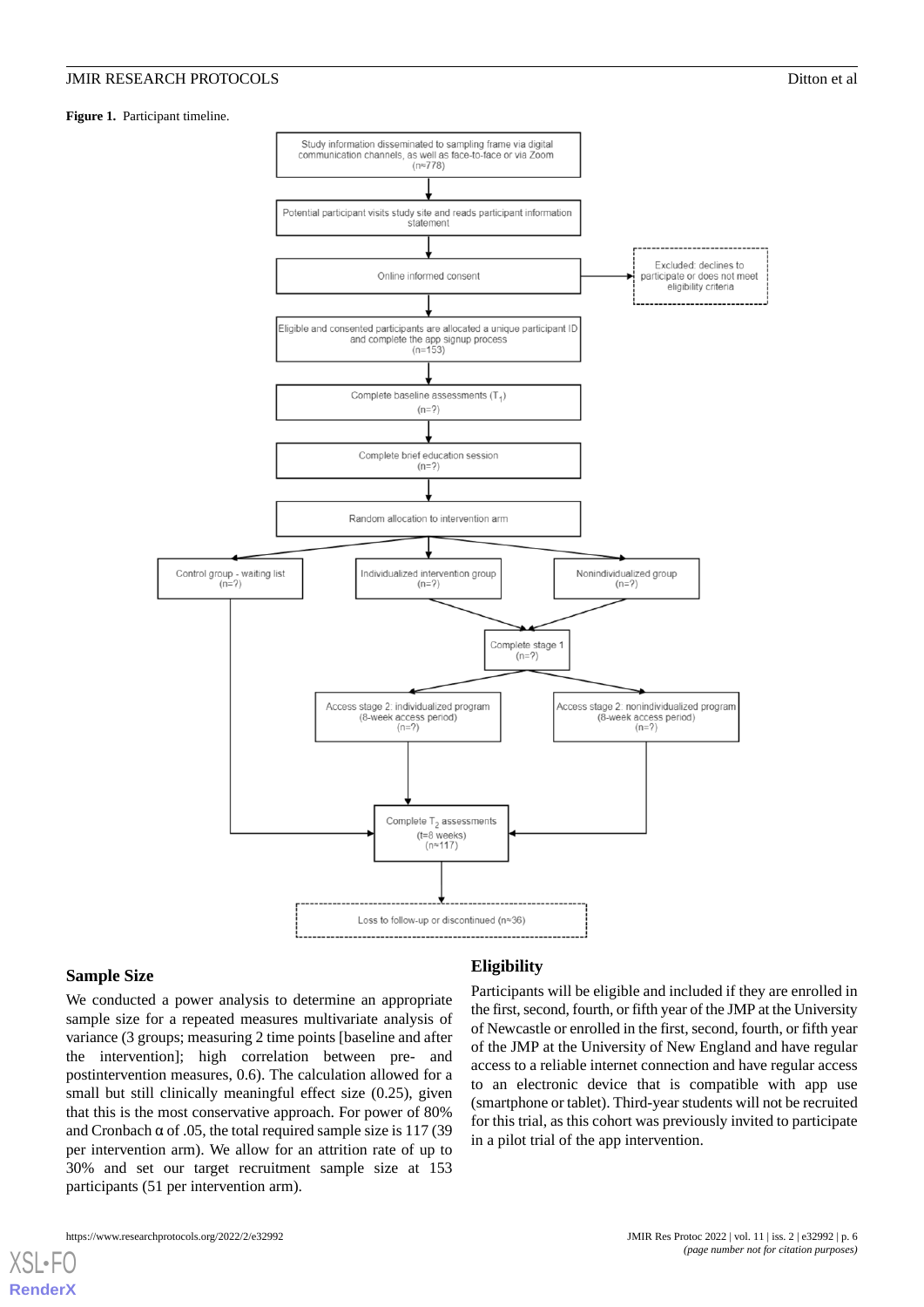#### <span id="page-5-0"></span>**Figure 1.** Participant timeline.



#### **Sample Size**

[XSL](http://www.w3.org/Style/XSL)•FO **[RenderX](http://www.renderx.com/)**

We conducted a power analysis to determine an appropriate sample size for a repeated measures multivariate analysis of variance (3 groups; measuring 2 time points [baseline and after the intervention]; high correlation between pre- and postintervention measures, 0.6). The calculation allowed for a small but still clinically meaningful effect size (0.25), given that this is the most conservative approach. For power of 80% and Cronbach  $\alpha$  of .05, the total required sample size is 117 (39) per intervention arm). We allow for an attrition rate of up to 30% and set our target recruitment sample size at 153 participants (51 per intervention arm).

#### **Eligibility**

Participants will be eligible and included if they are enrolled in the first, second, fourth, or fifth year of the JMP at the University of Newcastle or enrolled in the first, second, fourth, or fifth year of the JMP at the University of New England and have regular access to a reliable internet connection and have regular access to an electronic device that is compatible with app use (smartphone or tablet). Third-year students will not be recruited for this trial, as this cohort was previously invited to participate in a pilot trial of the app intervention.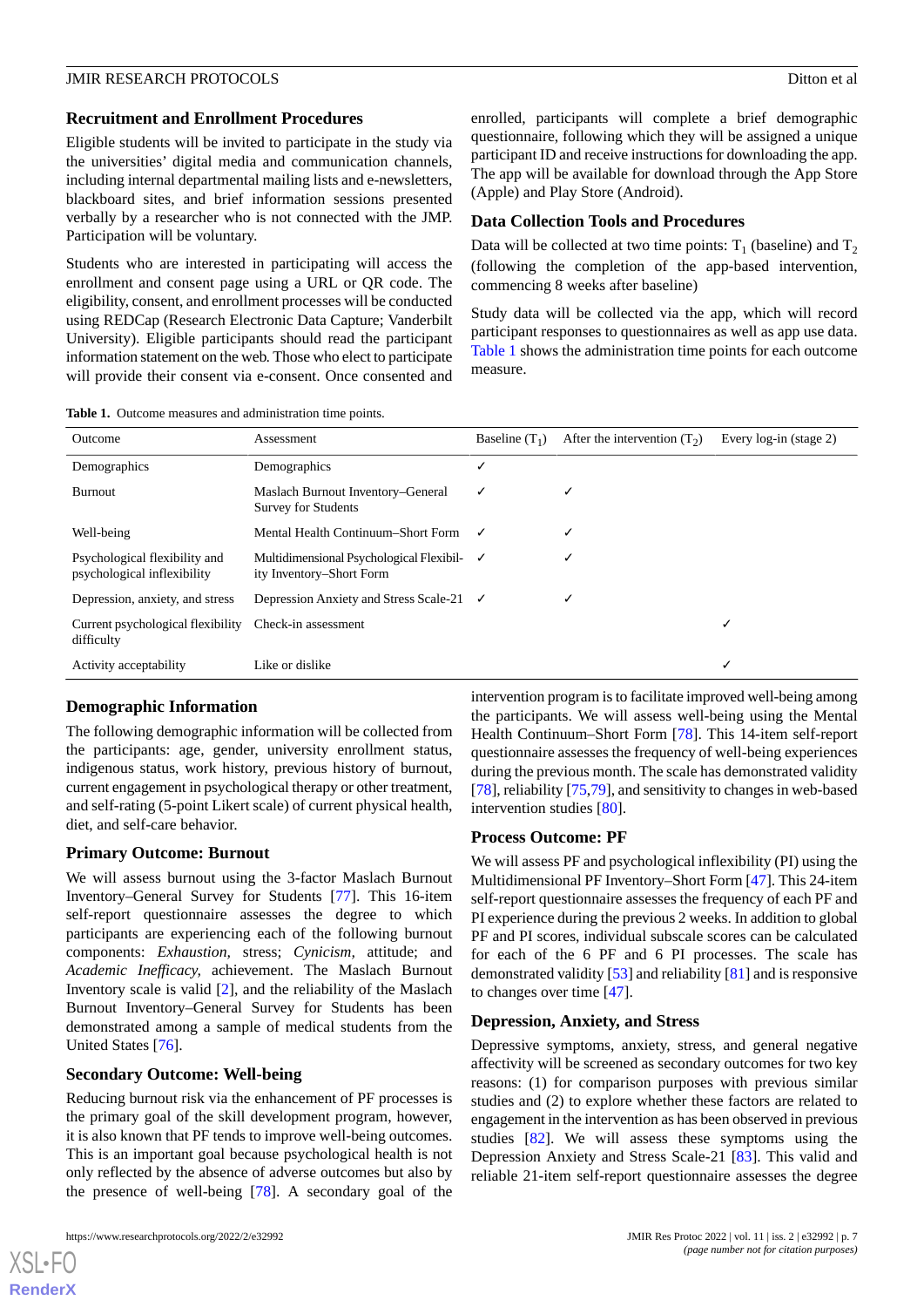#### **Recruitment and Enrollment Procedures**

Eligible students will be invited to participate in the study via the universities' digital media and communication channels, including internal departmental mailing lists and e-newsletters, blackboard sites, and brief information sessions presented verbally by a researcher who is not connected with the JMP. Participation will be voluntary.

Students who are interested in participating will access the enrollment and consent page using a URL or QR code. The eligibility, consent, and enrollment processes will be conducted using REDCap (Research Electronic Data Capture; Vanderbilt University). Eligible participants should read the participant information statement on the web. Those who elect to participate will provide their consent via e-consent. Once consented and

enrolled, participants will complete a brief demographic questionnaire, following which they will be assigned a unique participant ID and receive instructions for downloading the app. The app will be available for download through the App Store (Apple) and Play Store (Android).

#### **Data Collection Tools and Procedures**

Data will be collected at two time points:  $T_1$  (baseline) and  $T_2$ (following the completion of the app-based intervention, commencing 8 weeks after baseline)

Study data will be collected via the app, which will record participant responses to questionnaires as well as app use data. [Table 1](#page-6-0) shows the administration time points for each outcome measure.

<span id="page-6-0"></span>

| <b>Table 1.</b> Outcome measures and administration time points. |
|------------------------------------------------------------------|
|------------------------------------------------------------------|

| Outcome                                                      | Assessment                                                                        | Baseline $(T_1)$ | After the intervention $(T_2)$ | Every log-in (stage 2) |
|--------------------------------------------------------------|-----------------------------------------------------------------------------------|------------------|--------------------------------|------------------------|
| Demographics                                                 | Demographics                                                                      | √                |                                |                        |
| Burnout                                                      | Maslach Burnout Inventory–General<br>Survey for Students                          | ✓                |                                |                        |
| Well-being                                                   | Mental Health Continuum–Short Form √                                              |                  |                                |                        |
| Psychological flexibility and<br>psychological inflexibility | Multidimensional Psychological Flexibil- $\checkmark$<br>ity Inventory–Short Form |                  |                                |                        |
| Depression, anxiety, and stress                              | Depression Anxiety and Stress Scale-21 $\checkmark$                               |                  |                                |                        |
| Current psychological flexibility<br>difficulty              | Check-in assessment                                                               |                  |                                | ✓                      |
| Activity acceptability                                       | Like or dislike                                                                   |                  |                                | √                      |

# **Demographic Information**

The following demographic information will be collected from the participants: age, gender, university enrollment status, indigenous status, work history, previous history of burnout, current engagement in psychological therapy or other treatment, and self-rating (5-point Likert scale) of current physical health, diet, and self-care behavior.

#### **Primary Outcome: Burnout**

We will assess burnout using the 3-factor Maslach Burnout Inventory–General Survey for Students [\[77](#page-13-8)]. This 16-item self-report questionnaire assesses the degree to which participants are experiencing each of the following burnout components: *Exhaustion,* stress; *Cynicism,* attitude; and *Academic Inefficacy,* achievement. The Maslach Burnout Inventory scale is valid [[2\]](#page-10-1), and the reliability of the Maslach Burnout Inventory–General Survey for Students has been demonstrated among a sample of medical students from the United States [[76\]](#page-13-7).

#### **Secondary Outcome: Well-being**

Reducing burnout risk via the enhancement of PF processes is the primary goal of the skill development program, however, it is also known that PF tends to improve well-being outcomes. This is an important goal because psychological health is not only reflected by the absence of adverse outcomes but also by the presence of well-being [[78\]](#page-13-9). A secondary goal of the

[XSL](http://www.w3.org/Style/XSL)•FO **[RenderX](http://www.renderx.com/)**

intervention program is to facilitate improved well-being among the participants. We will assess well-being using the Mental Health Continuum–Short Form [[78\]](#page-13-9). This 14-item self-report questionnaire assesses the frequency of well-being experiences during the previous month. The scale has demonstrated validity [[78\]](#page-13-9), reliability [\[75](#page-13-6),[79\]](#page-13-10), and sensitivity to changes in web-based intervention studies [[80\]](#page-13-11).

#### **Process Outcome: PF**

We will assess PF and psychological inflexibility (PI) using the Multidimensional PF Inventory–Short Form [[47\]](#page-12-7). This 24-item self-report questionnaire assesses the frequency of each PF and PI experience during the previous 2 weeks. In addition to global PF and PI scores, individual subscale scores can be calculated for each of the 6 PF and 6 PI processes. The scale has demonstrated validity [[53\]](#page-12-11) and reliability [\[81](#page-13-12)] and is responsive to changes over time [\[47](#page-12-7)].

#### **Depression, Anxiety, and Stress**

Depressive symptoms, anxiety, stress, and general negative affectivity will be screened as secondary outcomes for two key reasons: (1) for comparison purposes with previous similar studies and (2) to explore whether these factors are related to engagement in the intervention as has been observed in previous studies [\[82](#page-13-13)]. We will assess these symptoms using the Depression Anxiety and Stress Scale-21 [[83\]](#page-13-14). This valid and reliable 21-item self-report questionnaire assesses the degree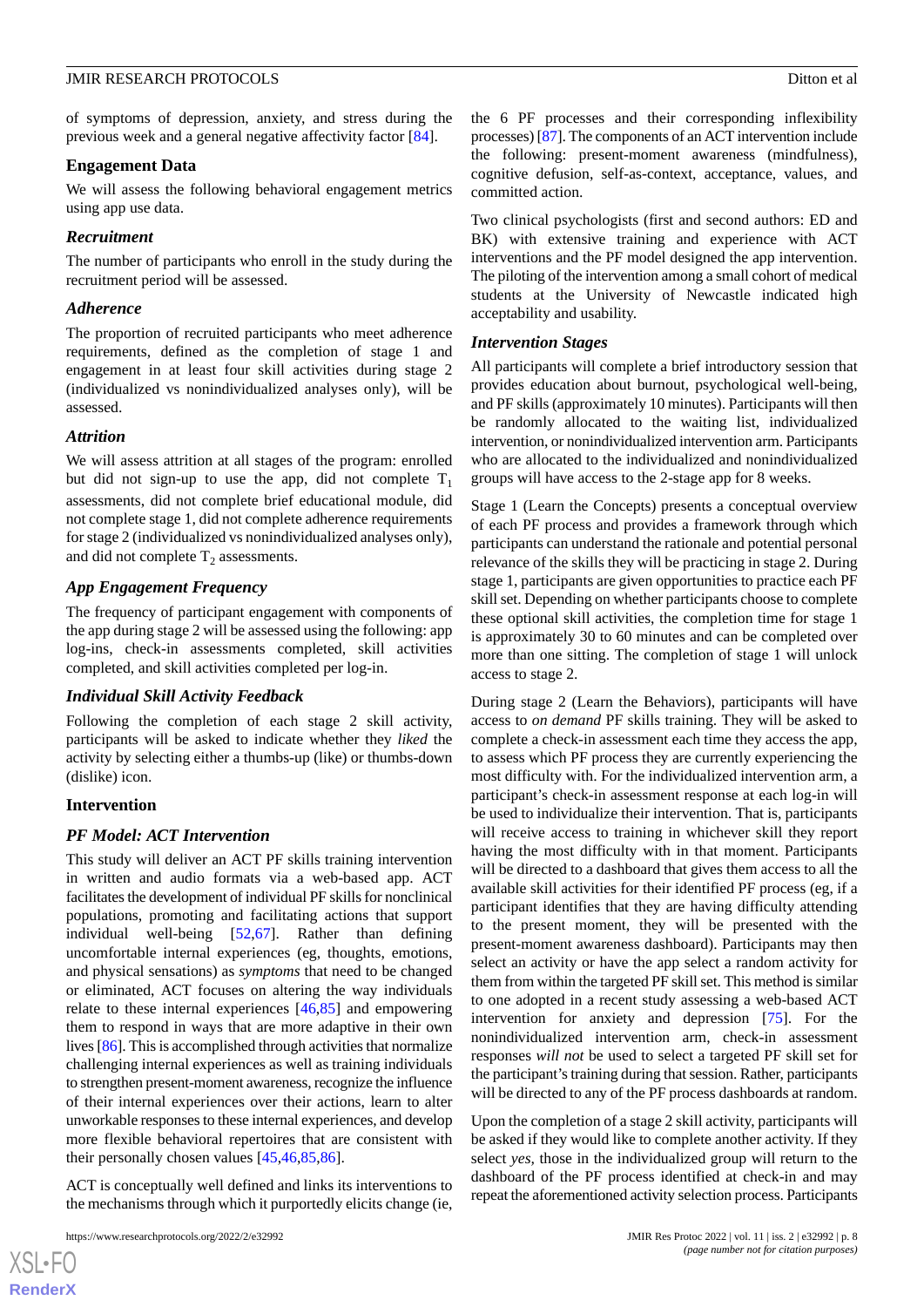of symptoms of depression, anxiety, and stress during the previous week and a general negative affectivity factor [\[84](#page-13-15)].

# **Engagement Data**

We will assess the following behavioral engagement metrics using app use data.

# *Recruitment*

The number of participants who enroll in the study during the recruitment period will be assessed.

# *Adherence*

The proportion of recruited participants who meet adherence requirements, defined as the completion of stage 1 and engagement in at least four skill activities during stage 2 (individualized vs nonindividualized analyses only), will be assessed.

# *Attrition*

We will assess attrition at all stages of the program: enrolled but did not sign-up to use the app, did not complete  $T_1$ assessments, did not complete brief educational module, did not complete stage 1, did not complete adherence requirements for stage 2 (individualized vs nonindividualized analyses only), and did not complete  $T_2$  assessments.

# *App Engagement Frequency*

The frequency of participant engagement with components of the app during stage 2 will be assessed using the following: app log-ins, check-in assessments completed, skill activities completed, and skill activities completed per log-in.

# *Individual Skill Activity Feedback*

Following the completion of each stage 2 skill activity, participants will be asked to indicate whether they *liked* the activity by selecting either a thumbs-up (like) or thumbs-down (dislike) icon.

# **Intervention**

# *PF Model: ACT Intervention*

This study will deliver an ACT PF skills training intervention in written and audio formats via a web-based app. ACT facilitates the development of individual PF skills for nonclinical populations, promoting and facilitating actions that support individual well-being [[52](#page-12-21)[,67](#page-13-16)]. Rather than defining uncomfortable internal experiences (eg, thoughts, emotions, and physical sensations) as *symptoms* that need to be changed or eliminated, ACT focuses on altering the way individuals relate to these internal experiences [[46,](#page-12-5)[85](#page-13-17)] and empowering them to respond in ways that are more adaptive in their own lives [[86\]](#page-13-18). This is accomplished through activities that normalize challenging internal experiences as well as training individuals to strengthen present-moment awareness, recognize the influence of their internal experiences over their actions, learn to alter unworkable responses to these internal experiences, and develop more flexible behavioral repertoires that are consistent with their personally chosen values [[45](#page-12-4)[,46](#page-12-5),[85](#page-13-17)[,86](#page-13-18)].

ACT is conceptually well defined and links its interventions to the mechanisms through which it purportedly elicits change (ie,

 $XS$ -FO **[RenderX](http://www.renderx.com/)** the 6 PF processes and their corresponding inflexibility processes) [\[87](#page-13-19)]. The components of an ACT intervention include the following: present-moment awareness (mindfulness), cognitive defusion, self-as-context, acceptance, values, and committed action.

Two clinical psychologists (first and second authors: ED and BK) with extensive training and experience with ACT interventions and the PF model designed the app intervention. The piloting of the intervention among a small cohort of medical students at the University of Newcastle indicated high acceptability and usability.

# *Intervention Stages*

All participants will complete a brief introductory session that provides education about burnout, psychological well-being, and PF skills (approximately 10 minutes). Participants will then be randomly allocated to the waiting list, individualized intervention, or nonindividualized intervention arm. Participants who are allocated to the individualized and nonindividualized groups will have access to the 2-stage app for 8 weeks.

Stage 1 (Learn the Concepts) presents a conceptual overview of each PF process and provides a framework through which participants can understand the rationale and potential personal relevance of the skills they will be practicing in stage 2. During stage 1, participants are given opportunities to practice each PF skill set. Depending on whether participants choose to complete these optional skill activities, the completion time for stage 1 is approximately 30 to 60 minutes and can be completed over more than one sitting. The completion of stage 1 will unlock access to stage 2.

During stage 2 (Learn the Behaviors), participants will have access to *on demand* PF skills training. They will be asked to complete a check-in assessment each time they access the app, to assess which PF process they are currently experiencing the most difficulty with. For the individualized intervention arm, a participant's check-in assessment response at each log-in will be used to individualize their intervention. That is, participants will receive access to training in whichever skill they report having the most difficulty with in that moment. Participants will be directed to a dashboard that gives them access to all the available skill activities for their identified PF process (eg, if a participant identifies that they are having difficulty attending to the present moment, they will be presented with the present-moment awareness dashboard). Participants may then select an activity or have the app select a random activity for them from within the targeted PF skill set. This method is similar to one adopted in a recent study assessing a web-based ACT intervention for anxiety and depression [\[75](#page-13-6)]. For the nonindividualized intervention arm, check-in assessment responses *will not* be used to select a targeted PF skill set for the participant's training during that session. Rather, participants will be directed to any of the PF process dashboards at random.

Upon the completion of a stage 2 skill activity, participants will be asked if they would like to complete another activity. If they select *yes,* those in the individualized group will return to the dashboard of the PF process identified at check-in and may repeat the aforementioned activity selection process. Participants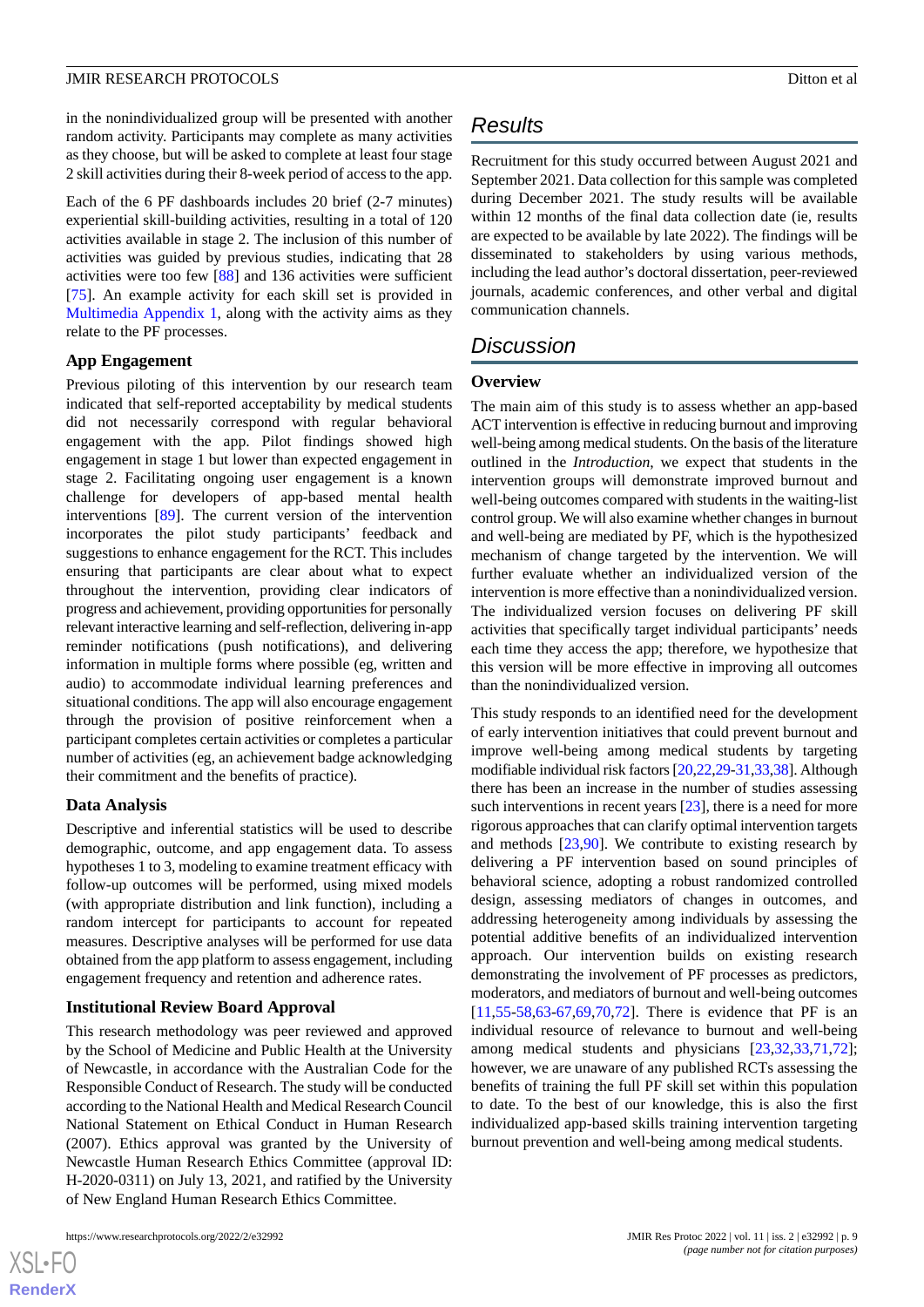in the nonindividualized group will be presented with another random activity. Participants may complete as many activities as they choose, but will be asked to complete at least four stage 2 skill activities during their 8-week period of access to the app.

Each of the 6 PF dashboards includes 20 brief (2-7 minutes) experiential skill-building activities, resulting in a total of 120 activities available in stage 2. The inclusion of this number of activities was guided by previous studies, indicating that 28 activities were too few [[88\]](#page-14-0) and 136 activities were sufficient [[75\]](#page-13-6). An example activity for each skill set is provided in [Multimedia Appendix 1](#page-10-15), along with the activity aims as they relate to the PF processes.

#### **App Engagement**

Previous piloting of this intervention by our research team indicated that self-reported acceptability by medical students did not necessarily correspond with regular behavioral engagement with the app. Pilot findings showed high engagement in stage 1 but lower than expected engagement in stage 2. Facilitating ongoing user engagement is a known challenge for developers of app-based mental health interventions [\[89](#page-14-1)]. The current version of the intervention incorporates the pilot study participants' feedback and suggestions to enhance engagement for the RCT. This includes ensuring that participants are clear about what to expect throughout the intervention, providing clear indicators of progress and achievement, providing opportunities for personally relevant interactive learning and self-reflection, delivering in-app reminder notifications (push notifications), and delivering information in multiple forms where possible (eg, written and audio) to accommodate individual learning preferences and situational conditions. The app will also encourage engagement through the provision of positive reinforcement when a participant completes certain activities or completes a particular number of activities (eg, an achievement badge acknowledging their commitment and the benefits of practice).

#### **Data Analysis**

Descriptive and inferential statistics will be used to describe demographic, outcome, and app engagement data. To assess hypotheses 1 to 3, modeling to examine treatment efficacy with follow-up outcomes will be performed, using mixed models (with appropriate distribution and link function), including a random intercept for participants to account for repeated measures. Descriptive analyses will be performed for use data obtained from the app platform to assess engagement, including engagement frequency and retention and adherence rates.

# **Institutional Review Board Approval**

This research methodology was peer reviewed and approved by the School of Medicine and Public Health at the University of Newcastle, in accordance with the Australian Code for the Responsible Conduct of Research. The study will be conducted according to the National Health and Medical Research Council National Statement on Ethical Conduct in Human Research (2007). Ethics approval was granted by the University of Newcastle Human Research Ethics Committee (approval ID: H-2020-0311) on July 13, 2021, and ratified by the University of New England Human Research Ethics Committee.

# *Results*

Recruitment for this study occurred between August 2021 and September 2021. Data collection for this sample was completed during December 2021. The study results will be available within 12 months of the final data collection date (ie, results are expected to be available by late 2022). The findings will be disseminated to stakeholders by using various methods, including the lead author's doctoral dissertation, peer-reviewed journals, academic conferences, and other verbal and digital communication channels.

# *Discussion*

#### **Overview**

The main aim of this study is to assess whether an app-based ACT intervention is effective in reducing burnout and improving well-being among medical students. On the basis of the literature outlined in the *Introduction*, we expect that students in the intervention groups will demonstrate improved burnout and well-being outcomes compared with students in the waiting-list control group. We will also examine whether changes in burnout and well-being are mediated by PF, which is the hypothesized mechanism of change targeted by the intervention. We will further evaluate whether an individualized version of the intervention is more effective than a nonindividualized version. The individualized version focuses on delivering PF skill activities that specifically target individual participants' needs each time they access the app; therefore, we hypothesize that this version will be more effective in improving all outcomes than the nonindividualized version.

This study responds to an identified need for the development of early intervention initiatives that could prevent burnout and improve well-being among medical students by targeting modifiable individual risk factors [[20](#page-11-2)[,22,](#page-11-20)[29](#page-11-10)[-31](#page-11-12)[,33](#page-11-21)[,38](#page-11-17)]. Although there has been an increase in the number of studies assessing such interventions in recent years [[23\]](#page-11-4), there is a need for more rigorous approaches that can clarify optimal intervention targets and methods [[23,](#page-11-4)[90](#page-14-2)]. We contribute to existing research by delivering a PF intervention based on sound principles of behavioral science, adopting a robust randomized controlled design, assessing mediators of changes in outcomes, and addressing heterogeneity among individuals by assessing the potential additive benefits of an individualized intervention approach. Our intervention builds on existing research demonstrating the involvement of PF processes as predictors, moderators, and mediators of burnout and well-being outcomes [[11,](#page-10-8)[55-](#page-12-13)[58](#page-12-14)[,63](#page-12-20)-[67,](#page-13-16)[69](#page-13-0),[70,](#page-13-1)[72](#page-13-3)]. There is evidence that PF is an individual resource of relevance to burnout and well-being among medical students and physicians [[23,](#page-11-4)[32](#page-11-13),[33,](#page-11-21)[71](#page-13-2),[72\]](#page-13-3); however, we are unaware of any published RCTs assessing the benefits of training the full PF skill set within this population to date. To the best of our knowledge, this is also the first individualized app-based skills training intervention targeting burnout prevention and well-being among medical students.

```
XSI - F(RenderX
```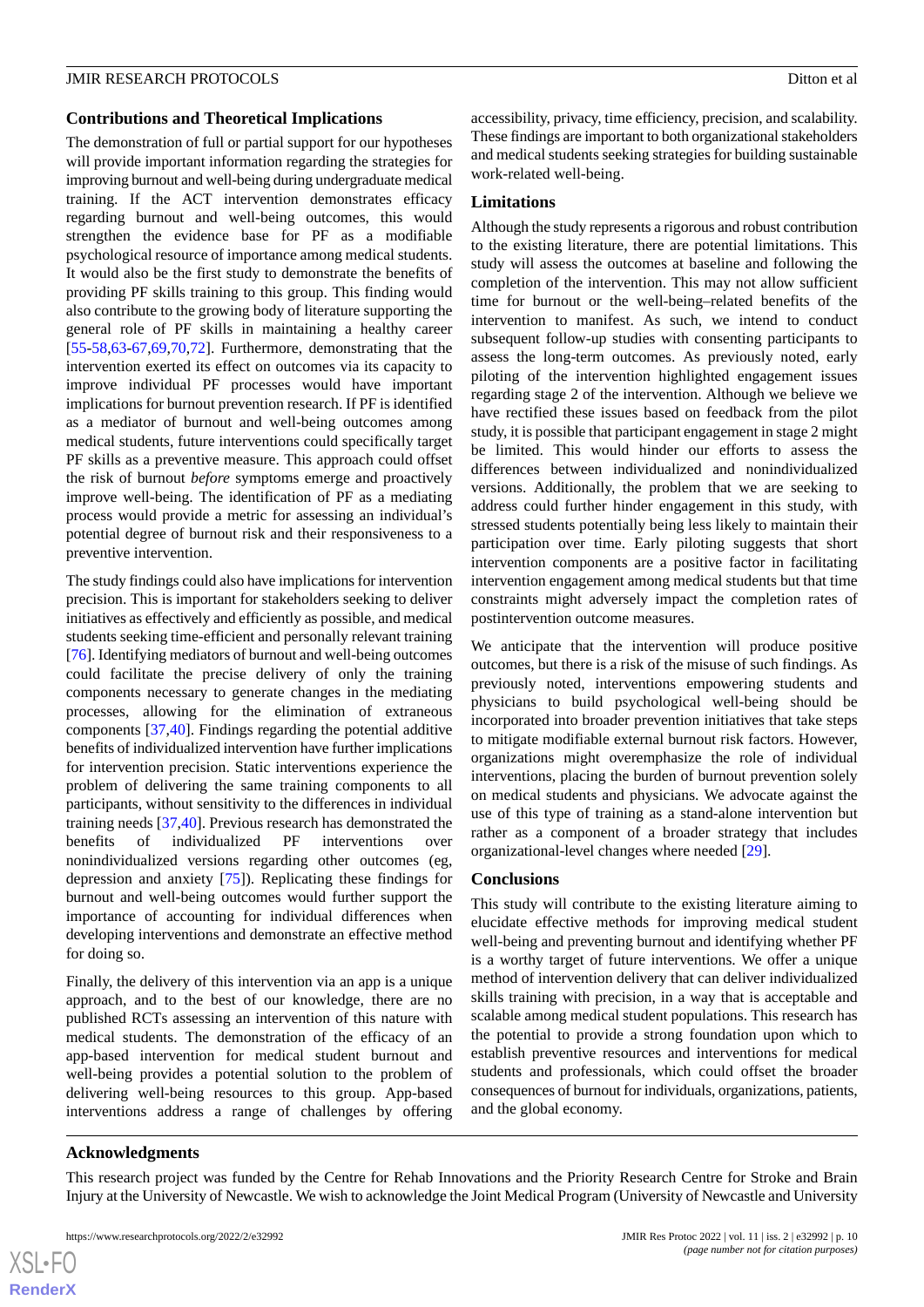### **Contributions and Theoretical Implications**

The demonstration of full or partial support for our hypotheses will provide important information regarding the strategies for improving burnout and well-being during undergraduate medical training. If the ACT intervention demonstrates efficacy regarding burnout and well-being outcomes, this would strengthen the evidence base for PF as a modifiable psychological resource of importance among medical students. It would also be the first study to demonstrate the benefits of providing PF skills training to this group. This finding would also contribute to the growing body of literature supporting the general role of PF skills in maintaining a healthy career [[55](#page-12-13)[-58](#page-12-14),[63-](#page-12-20)[67](#page-13-16),[69,](#page-13-0)[70](#page-13-1)[,72](#page-13-3)]. Furthermore, demonstrating that the intervention exerted its effect on outcomes via its capacity to improve individual PF processes would have important implications for burnout prevention research. If PF is identified as a mediator of burnout and well-being outcomes among medical students, future interventions could specifically target PF skills as a preventive measure. This approach could offset the risk of burnout *before* symptoms emerge and proactively improve well-being. The identification of PF as a mediating process would provide a metric for assessing an individual's potential degree of burnout risk and their responsiveness to a preventive intervention.

The study findings could also have implications for intervention precision. This is important for stakeholders seeking to deliver initiatives as effectively and efficiently as possible, and medical students seeking time-efficient and personally relevant training [[76\]](#page-13-7). Identifying mediators of burnout and well-being outcomes could facilitate the precise delivery of only the training components necessary to generate changes in the mediating processes, allowing for the elimination of extraneous components [\[37](#page-11-16),[40\]](#page-11-19). Findings regarding the potential additive benefits of individualized intervention have further implications for intervention precision. Static interventions experience the problem of delivering the same training components to all participants, without sensitivity to the differences in individual training needs [\[37](#page-11-16),[40\]](#page-11-19). Previous research has demonstrated the benefits of individualized PF interventions over nonindividualized versions regarding other outcomes (eg, depression and anxiety [[75\]](#page-13-6)). Replicating these findings for burnout and well-being outcomes would further support the importance of accounting for individual differences when developing interventions and demonstrate an effective method for doing so.

Finally, the delivery of this intervention via an app is a unique approach, and to the best of our knowledge, there are no published RCTs assessing an intervention of this nature with medical students. The demonstration of the efficacy of an app-based intervention for medical student burnout and well-being provides a potential solution to the problem of delivering well-being resources to this group. App-based interventions address a range of challenges by offering

accessibility, privacy, time efficiency, precision, and scalability. These findings are important to both organizational stakeholders and medical students seeking strategies for building sustainable work-related well-being.

# **Limitations**

Although the study represents a rigorous and robust contribution to the existing literature, there are potential limitations. This study will assess the outcomes at baseline and following the completion of the intervention. This may not allow sufficient time for burnout or the well-being–related benefits of the intervention to manifest. As such, we intend to conduct subsequent follow-up studies with consenting participants to assess the long-term outcomes. As previously noted, early piloting of the intervention highlighted engagement issues regarding stage 2 of the intervention. Although we believe we have rectified these issues based on feedback from the pilot study, it is possible that participant engagement in stage 2 might be limited. This would hinder our efforts to assess the differences between individualized and nonindividualized versions. Additionally, the problem that we are seeking to address could further hinder engagement in this study, with stressed students potentially being less likely to maintain their participation over time. Early piloting suggests that short intervention components are a positive factor in facilitating intervention engagement among medical students but that time constraints might adversely impact the completion rates of postintervention outcome measures.

We anticipate that the intervention will produce positive outcomes, but there is a risk of the misuse of such findings. As previously noted, interventions empowering students and physicians to build psychological well-being should be incorporated into broader prevention initiatives that take steps to mitigate modifiable external burnout risk factors. However, organizations might overemphasize the role of individual interventions, placing the burden of burnout prevention solely on medical students and physicians. We advocate against the use of this type of training as a stand-alone intervention but rather as a component of a broader strategy that includes organizational-level changes where needed [\[29](#page-11-10)].

# **Conclusions**

This study will contribute to the existing literature aiming to elucidate effective methods for improving medical student well-being and preventing burnout and identifying whether PF is a worthy target of future interventions. We offer a unique method of intervention delivery that can deliver individualized skills training with precision, in a way that is acceptable and scalable among medical student populations. This research has the potential to provide a strong foundation upon which to establish preventive resources and interventions for medical students and professionals, which could offset the broader consequences of burnout for individuals, organizations, patients, and the global economy.

#### **Acknowledgments**

 $XS$  $\cdot$ FC **[RenderX](http://www.renderx.com/)**

This research project was funded by the Centre for Rehab Innovations and the Priority Research Centre for Stroke and Brain Injury at the University of Newcastle. We wish to acknowledge the Joint Medical Program (University of Newcastle and University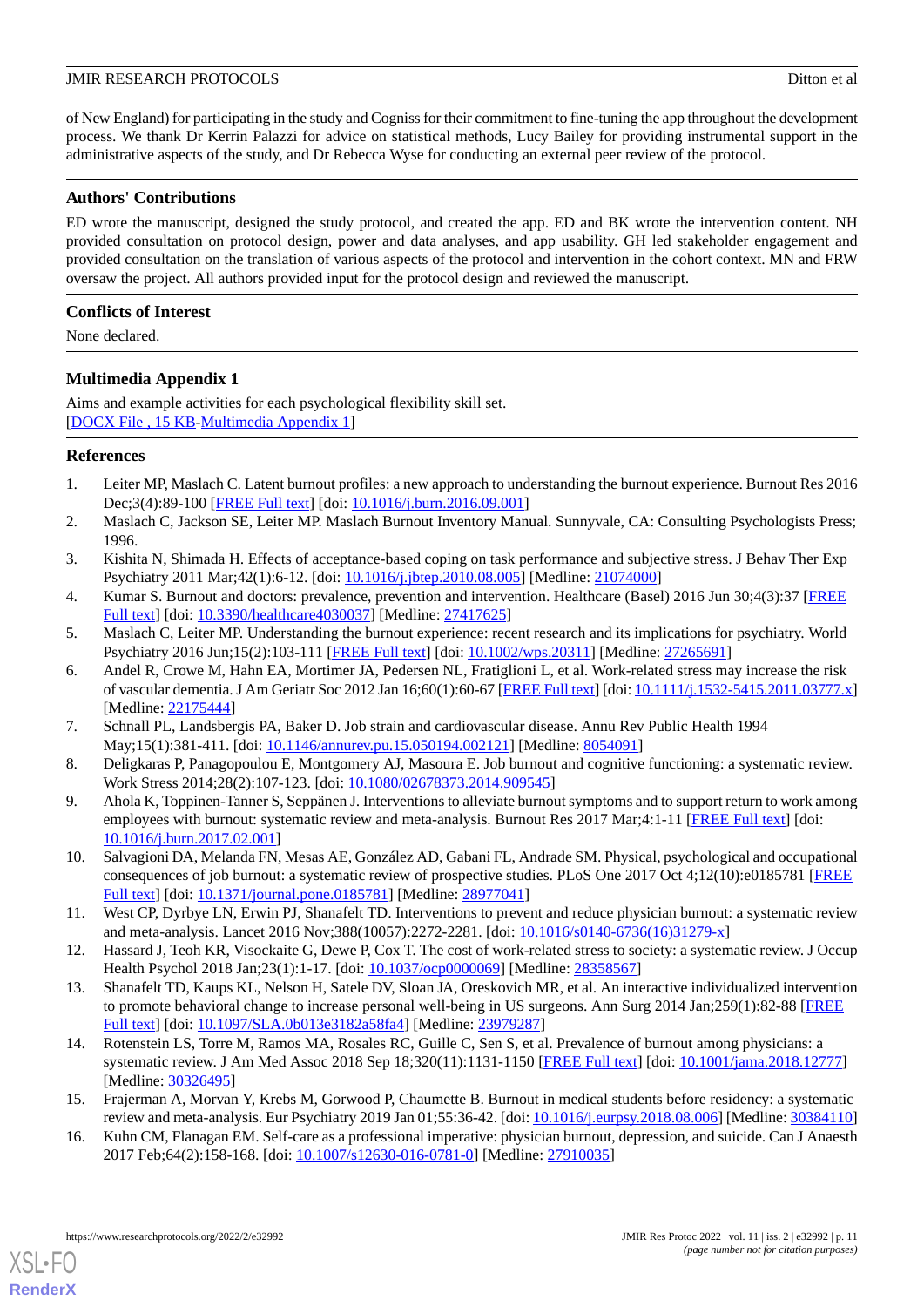of New England) for participating in the study and Cogniss for their commitment to fine-tuning the app throughout the development process. We thank Dr Kerrin Palazzi for advice on statistical methods, Lucy Bailey for providing instrumental support in the administrative aspects of the study, and Dr Rebecca Wyse for conducting an external peer review of the protocol.

# **Authors' Contributions**

ED wrote the manuscript, designed the study protocol, and created the app. ED and BK wrote the intervention content. NH provided consultation on protocol design, power and data analyses, and app usability. GH led stakeholder engagement and provided consultation on the translation of various aspects of the protocol and intervention in the cohort context. MN and FRW oversaw the project. All authors provided input for the protocol design and reviewed the manuscript.

# **Conflicts of Interest**

<span id="page-10-15"></span>None declared.

# **Multimedia Appendix 1**

Aims and example activities for each psychological flexibility skill set. [[DOCX File , 15 KB](https://jmir.org/api/download?alt_name=resprot_v11i2e32992_app1.docx&filename=e2d1dc021bb2e29a4dc9e3f8473f18a2.docx)-[Multimedia Appendix 1\]](https://jmir.org/api/download?alt_name=resprot_v11i2e32992_app1.docx&filename=e2d1dc021bb2e29a4dc9e3f8473f18a2.docx)

# <span id="page-10-0"></span>**References**

- <span id="page-10-1"></span>1. Leiter MP, Maslach C. Latent burnout profiles: a new approach to understanding the burnout experience. Burnout Res 2016 Dec;3(4):89-100 [\[FREE Full text](https://doi.org/10.1016/j.burn.2016.09.001)] [doi: [10.1016/j.burn.2016.09.001\]](http://dx.doi.org/10.1016/j.burn.2016.09.001)
- <span id="page-10-13"></span><span id="page-10-2"></span>2. Maslach C, Jackson SE, Leiter MP. Maslach Burnout Inventory Manual. Sunnyvale, CA: Consulting Psychologists Press; 1996.
- <span id="page-10-3"></span>3. Kishita N, Shimada H. Effects of acceptance-based coping on task performance and subjective stress. J Behav Ther Exp Psychiatry 2011 Mar;42(1):6-12. [doi: [10.1016/j.jbtep.2010.08.005](http://dx.doi.org/10.1016/j.jbtep.2010.08.005)] [Medline: [21074000](http://www.ncbi.nlm.nih.gov/entrez/query.fcgi?cmd=Retrieve&db=PubMed&list_uids=21074000&dopt=Abstract)]
- 4. Kumar S. Burnout and doctors: prevalence, prevention and intervention. Healthcare (Basel) 2016 Jun 30;4(3):37 [\[FREE](https://www.mdpi.com/resolver?pii=healthcare4030037) [Full text\]](https://www.mdpi.com/resolver?pii=healthcare4030037) [doi: [10.3390/healthcare4030037\]](http://dx.doi.org/10.3390/healthcare4030037) [Medline: [27417625](http://www.ncbi.nlm.nih.gov/entrez/query.fcgi?cmd=Retrieve&db=PubMed&list_uids=27417625&dopt=Abstract)]
- 5. Maslach C, Leiter MP. Understanding the burnout experience: recent research and its implications for psychiatry. World Psychiatry 2016 Jun;15(2):103-111 [\[FREE Full text](https://doi.org/10.1002/wps.20311)] [doi: [10.1002/wps.20311](http://dx.doi.org/10.1002/wps.20311)] [Medline: [27265691](http://www.ncbi.nlm.nih.gov/entrez/query.fcgi?cmd=Retrieve&db=PubMed&list_uids=27265691&dopt=Abstract)]
- <span id="page-10-5"></span><span id="page-10-4"></span>6. Andel R, Crowe M, Hahn EA, Mortimer JA, Pedersen NL, Fratiglioni L, et al. Work-related stress may increase the risk of vascular dementia. J Am Geriatr Soc 2012 Jan 16;60(1):60-67 [\[FREE Full text](http://europepmc.org/abstract/MED/22175444)] [doi: [10.1111/j.1532-5415.2011.03777.x](http://dx.doi.org/10.1111/j.1532-5415.2011.03777.x)] [Medline: [22175444](http://www.ncbi.nlm.nih.gov/entrez/query.fcgi?cmd=Retrieve&db=PubMed&list_uids=22175444&dopt=Abstract)]
- <span id="page-10-6"></span>7. Schnall PL, Landsbergis PA, Baker D. Job strain and cardiovascular disease. Annu Rev Public Health 1994 May;15(1):381-411. [doi: [10.1146/annurev.pu.15.050194.002121](http://dx.doi.org/10.1146/annurev.pu.15.050194.002121)] [Medline: [8054091](http://www.ncbi.nlm.nih.gov/entrez/query.fcgi?cmd=Retrieve&db=PubMed&list_uids=8054091&dopt=Abstract)]
- <span id="page-10-7"></span>8. Deligkaras P, Panagopoulou E, Montgomery AJ, Masoura E. Job burnout and cognitive functioning: a systematic review. Work Stress 2014;28(2):107-123. [doi: [10.1080/02678373.2014.909545\]](http://dx.doi.org/10.1080/02678373.2014.909545)
- <span id="page-10-8"></span>9. Ahola K, Toppinen-Tanner S, Seppänen J. Interventions to alleviate burnout symptoms and to support return to work among employees with burnout: systematic review and meta-analysis. Burnout Res 2017 Mar;4:1-11 [[FREE Full text](https://doi.org/10.1016/j.burn.2017.02.001)] [doi: [10.1016/j.burn.2017.02.001\]](http://dx.doi.org/10.1016/j.burn.2017.02.001)
- <span id="page-10-9"></span>10. Salvagioni DA, Melanda FN, Mesas AE, González AD, Gabani FL, Andrade SM. Physical, psychological and occupational consequences of job burnout: a systematic review of prospective studies. PLoS One 2017 Oct 4;12(10):e0185781 [[FREE](https://dx.plos.org/10.1371/journal.pone.0185781) [Full text\]](https://dx.plos.org/10.1371/journal.pone.0185781) [doi: [10.1371/journal.pone.0185781](http://dx.doi.org/10.1371/journal.pone.0185781)] [Medline: [28977041](http://www.ncbi.nlm.nih.gov/entrez/query.fcgi?cmd=Retrieve&db=PubMed&list_uids=28977041&dopt=Abstract)]
- <span id="page-10-10"></span>11. West CP, Dyrbye LN, Erwin PJ, Shanafelt TD. Interventions to prevent and reduce physician burnout: a systematic review and meta-analysis. Lancet 2016 Nov;388(10057):2272-2281. [doi: [10.1016/s0140-6736\(16\)31279-x](http://dx.doi.org/10.1016/s0140-6736(16)31279-x)]
- <span id="page-10-11"></span>12. Hassard J, Teoh KR, Visockaite G, Dewe P, Cox T. The cost of work-related stress to society: a systematic review. J Occup Health Psychol 2018 Jan;23(1):1-17. [doi: [10.1037/ocp0000069](http://dx.doi.org/10.1037/ocp0000069)] [Medline: [28358567](http://www.ncbi.nlm.nih.gov/entrez/query.fcgi?cmd=Retrieve&db=PubMed&list_uids=28358567&dopt=Abstract)]
- <span id="page-10-12"></span>13. Shanafelt TD, Kaups KL, Nelson H, Satele DV, Sloan JA, Oreskovich MR, et al. An interactive individualized intervention to promote behavioral change to increase personal well-being in US surgeons. Ann Surg 2014 Jan;259(1):82-88 [\[FREE](http://europepmc.org/abstract/MED/23979287) [Full text\]](http://europepmc.org/abstract/MED/23979287) [doi: [10.1097/SLA.0b013e3182a58fa4](http://dx.doi.org/10.1097/SLA.0b013e3182a58fa4)] [Medline: [23979287](http://www.ncbi.nlm.nih.gov/entrez/query.fcgi?cmd=Retrieve&db=PubMed&list_uids=23979287&dopt=Abstract)]
- <span id="page-10-14"></span>14. Rotenstein LS, Torre M, Ramos MA, Rosales RC, Guille C, Sen S, et al. Prevalence of burnout among physicians: a systematic review. J Am Med Assoc 2018 Sep 18;320(11):1131-1150 [\[FREE Full text\]](http://europepmc.org/abstract/MED/30326495) [doi: [10.1001/jama.2018.12777\]](http://dx.doi.org/10.1001/jama.2018.12777) [Medline: [30326495](http://www.ncbi.nlm.nih.gov/entrez/query.fcgi?cmd=Retrieve&db=PubMed&list_uids=30326495&dopt=Abstract)]
- 15. Frajerman A, Morvan Y, Krebs M, Gorwood P, Chaumette B. Burnout in medical students before residency: a systematic review and meta-analysis. Eur Psychiatry 2019 Jan 01;55:36-42. [doi: [10.1016/j.eurpsy.2018.08.006\]](http://dx.doi.org/10.1016/j.eurpsy.2018.08.006) [Medline: [30384110](http://www.ncbi.nlm.nih.gov/entrez/query.fcgi?cmd=Retrieve&db=PubMed&list_uids=30384110&dopt=Abstract)]
- 16. Kuhn CM, Flanagan EM. Self-care as a professional imperative: physician burnout, depression, and suicide. Can J Anaesth 2017 Feb;64(2):158-168. [doi: [10.1007/s12630-016-0781-0](http://dx.doi.org/10.1007/s12630-016-0781-0)] [Medline: [27910035\]](http://www.ncbi.nlm.nih.gov/entrez/query.fcgi?cmd=Retrieve&db=PubMed&list_uids=27910035&dopt=Abstract)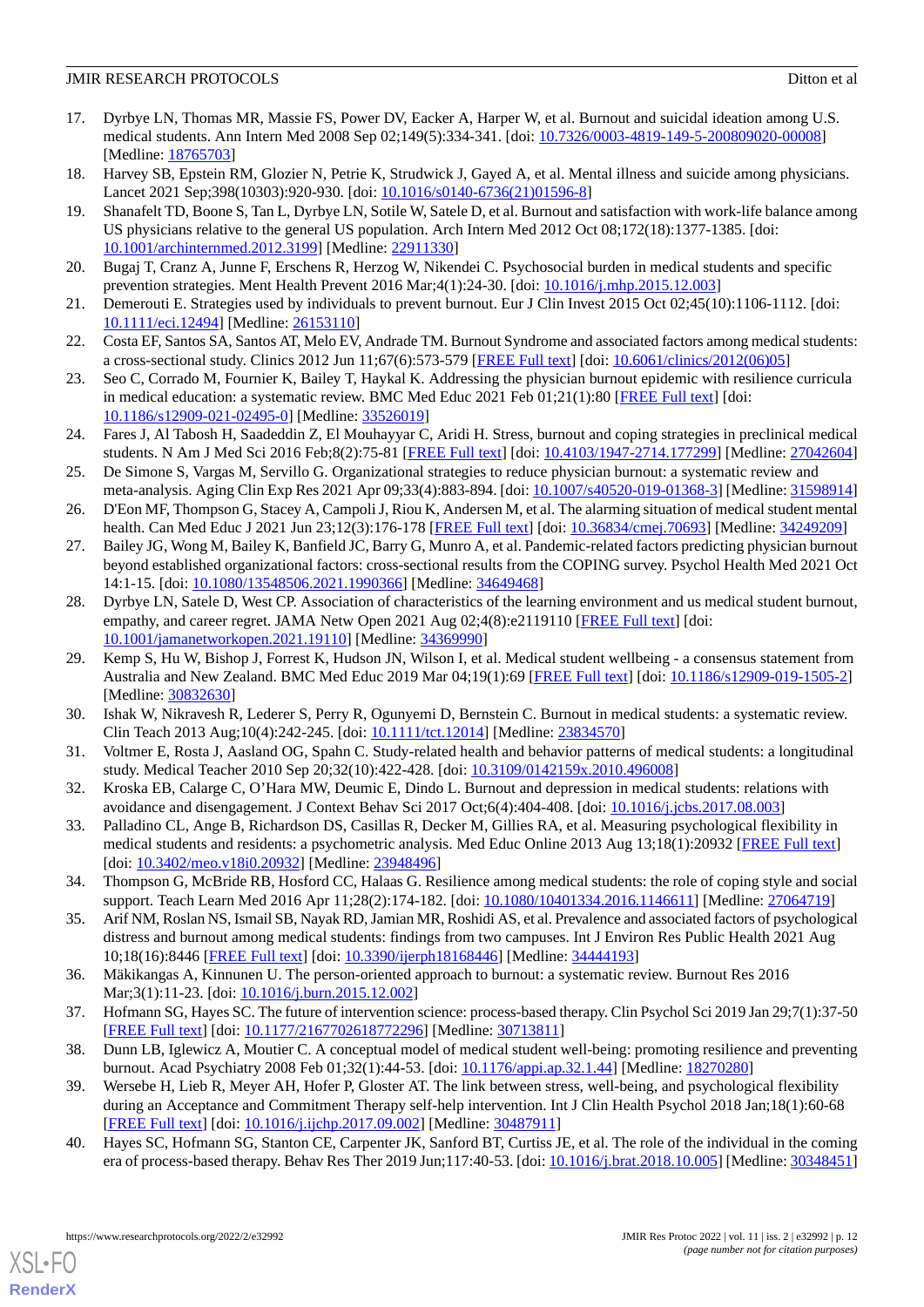- 17. Dyrbye LN, Thomas MR, Massie FS, Power DV, Eacker A, Harper W, et al. Burnout and suicidal ideation among U.S. medical students. Ann Intern Med 2008 Sep 02;149(5):334-341. [doi: [10.7326/0003-4819-149-5-200809020-00008](http://dx.doi.org/10.7326/0003-4819-149-5-200809020-00008)] [Medline: [18765703](http://www.ncbi.nlm.nih.gov/entrez/query.fcgi?cmd=Retrieve&db=PubMed&list_uids=18765703&dopt=Abstract)]
- <span id="page-11-1"></span><span id="page-11-0"></span>18. Harvey SB, Epstein RM, Glozier N, Petrie K, Strudwick J, Gayed A, et al. Mental illness and suicide among physicians. Lancet 2021 Sep;398(10303):920-930. [doi: [10.1016/s0140-6736\(21\)01596-8](http://dx.doi.org/10.1016/s0140-6736(21)01596-8)]
- 19. Shanafelt TD, Boone S, Tan L, Dyrbye LN, Sotile W, Satele D, et al. Burnout and satisfaction with work-life balance among US physicians relative to the general US population. Arch Intern Med 2012 Oct 08;172(18):1377-1385. [doi: [10.1001/archinternmed.2012.3199\]](http://dx.doi.org/10.1001/archinternmed.2012.3199) [Medline: [22911330](http://www.ncbi.nlm.nih.gov/entrez/query.fcgi?cmd=Retrieve&db=PubMed&list_uids=22911330&dopt=Abstract)]
- <span id="page-11-3"></span><span id="page-11-2"></span>20. Bugaj T, Cranz A, Junne F, Erschens R, Herzog W, Nikendei C. Psychosocial burden in medical students and specific prevention strategies. Ment Health Prevent 2016 Mar;4(1):24-30. [doi: [10.1016/j.mhp.2015.12.003](http://dx.doi.org/10.1016/j.mhp.2015.12.003)]
- <span id="page-11-20"></span>21. Demerouti E. Strategies used by individuals to prevent burnout. Eur J Clin Invest 2015 Oct 02;45(10):1106-1112. [doi: [10.1111/eci.12494\]](http://dx.doi.org/10.1111/eci.12494) [Medline: [26153110\]](http://www.ncbi.nlm.nih.gov/entrez/query.fcgi?cmd=Retrieve&db=PubMed&list_uids=26153110&dopt=Abstract)
- <span id="page-11-4"></span>22. Costa EF, Santos SA, Santos AT, Melo EV, Andrade TM. Burnout Syndrome and associated factors among medical students: a cross-sectional study. Clinics 2012 Jun 11;67(6):573-579 [[FREE Full text\]](https://www.scielo.br/j/clin/a/gW9kTVYLhJshnzHhZgjkW6k/abstract/?lang=en) [doi: [10.6061/clinics/2012\(06\)05\]](http://dx.doi.org/10.6061/clinics/2012(06)05)
- <span id="page-11-5"></span>23. Seo C, Corrado M, Fournier K, Bailey T, Haykal K. Addressing the physician burnout epidemic with resilience curricula in medical education: a systematic review. BMC Med Educ 2021 Feb 01;21(1):80 [[FREE Full text\]](https://bmcmededuc.biomedcentral.com/articles/10.1186/s12909-021-02495-0) [doi: [10.1186/s12909-021-02495-0\]](http://dx.doi.org/10.1186/s12909-021-02495-0) [Medline: [33526019\]](http://www.ncbi.nlm.nih.gov/entrez/query.fcgi?cmd=Retrieve&db=PubMed&list_uids=33526019&dopt=Abstract)
- <span id="page-11-6"></span>24. Fares J, Al Tabosh H, Saadeddin Z, El Mouhayyar C, Aridi H. Stress, burnout and coping strategies in preclinical medical students. N Am J Med Sci 2016 Feb;8(2):75-81 [[FREE Full text](http://www.najms.org/article.asp?issn=1947-2714;year=2016;volume=8;issue=2;spage=75;epage=81;aulast=Fares)] [doi: [10.4103/1947-2714.177299\]](http://dx.doi.org/10.4103/1947-2714.177299) [Medline: [27042604](http://www.ncbi.nlm.nih.gov/entrez/query.fcgi?cmd=Retrieve&db=PubMed&list_uids=27042604&dopt=Abstract)]
- <span id="page-11-7"></span>25. De Simone S, Vargas M, Servillo G. Organizational strategies to reduce physician burnout: a systematic review and meta-analysis. Aging Clin Exp Res 2021 Apr 09;33(4):883-894. [doi: [10.1007/s40520-019-01368-3](http://dx.doi.org/10.1007/s40520-019-01368-3)] [Medline: [31598914](http://www.ncbi.nlm.nih.gov/entrez/query.fcgi?cmd=Retrieve&db=PubMed&list_uids=31598914&dopt=Abstract)]
- <span id="page-11-8"></span>26. D'Eon MF, Thompson G, Stacey A, Campoli J, Riou K, Andersen M, et al. The alarming situation of medical student mental health. Can Med Educ J 2021 Jun 23;12(3):176-178 [\[FREE Full text](http://europepmc.org/abstract/MED/34249209)] [doi: [10.36834/cmej.70693\]](http://dx.doi.org/10.36834/cmej.70693) [Medline: [34249209\]](http://www.ncbi.nlm.nih.gov/entrez/query.fcgi?cmd=Retrieve&db=PubMed&list_uids=34249209&dopt=Abstract)
- <span id="page-11-9"></span>27. Bailey JG, Wong M, Bailey K, Banfield JC, Barry G, Munro A, et al. Pandemic-related factors predicting physician burnout beyond established organizational factors: cross-sectional results from the COPING survey. Psychol Health Med 2021 Oct 14:1-15. [doi: [10.1080/13548506.2021.1990366](http://dx.doi.org/10.1080/13548506.2021.1990366)] [Medline: [34649468](http://www.ncbi.nlm.nih.gov/entrez/query.fcgi?cmd=Retrieve&db=PubMed&list_uids=34649468&dopt=Abstract)]
- <span id="page-11-10"></span>28. Dyrbye LN, Satele D, West CP. Association of characteristics of the learning environment and us medical student burnout, empathy, and career regret. JAMA Netw Open 2021 Aug 02;4(8):e2119110 [\[FREE Full text\]](https://jamanetwork.com/journals/jamanetworkopen/fullarticle/10.1001/jamanetworkopen.2021.19110) [doi: [10.1001/jamanetworkopen.2021.19110](http://dx.doi.org/10.1001/jamanetworkopen.2021.19110)] [Medline: [34369990](http://www.ncbi.nlm.nih.gov/entrez/query.fcgi?cmd=Retrieve&db=PubMed&list_uids=34369990&dopt=Abstract)]
- <span id="page-11-12"></span><span id="page-11-11"></span>29. Kemp S, Hu W, Bishop J, Forrest K, Hudson JN, Wilson I, et al. Medical student wellbeing - a consensus statement from Australia and New Zealand. BMC Med Educ 2019 Mar 04;19(1):69 [\[FREE Full text\]](https://bmcmededuc.biomedcentral.com/articles/10.1186/s12909-019-1505-2) [doi: [10.1186/s12909-019-1505-2](http://dx.doi.org/10.1186/s12909-019-1505-2)] [Medline: [30832630](http://www.ncbi.nlm.nih.gov/entrez/query.fcgi?cmd=Retrieve&db=PubMed&list_uids=30832630&dopt=Abstract)]
- <span id="page-11-13"></span>30. Ishak W, Nikravesh R, Lederer S, Perry R, Ogunyemi D, Bernstein C. Burnout in medical students: a systematic review. Clin Teach 2013 Aug;10(4):242-245. [doi: [10.1111/tct.12014\]](http://dx.doi.org/10.1111/tct.12014) [Medline: [23834570\]](http://www.ncbi.nlm.nih.gov/entrez/query.fcgi?cmd=Retrieve&db=PubMed&list_uids=23834570&dopt=Abstract)
- <span id="page-11-21"></span>31. Voltmer E, Rosta J, Aasland OG, Spahn C. Study-related health and behavior patterns of medical students: a longitudinal study. Medical Teacher 2010 Sep 20;32(10):422-428. [doi: [10.3109/0142159x.2010.496008](http://dx.doi.org/10.3109/0142159x.2010.496008)]
- <span id="page-11-22"></span>32. Kroska EB, Calarge C, O'Hara MW, Deumic E, Dindo L. Burnout and depression in medical students: relations with avoidance and disengagement. J Context Behav Sci 2017 Oct;6(4):404-408. [doi: [10.1016/j.jcbs.2017.08.003\]](http://dx.doi.org/10.1016/j.jcbs.2017.08.003)
- <span id="page-11-14"></span>33. Palladino CL, Ange B, Richardson DS, Casillas R, Decker M, Gillies RA, et al. Measuring psychological flexibility in medical students and residents: a psychometric analysis. Med Educ Online 2013 Aug 13;18(1):20932 [\[FREE Full text\]](http://europepmc.org/abstract/MED/23948496) [doi: [10.3402/meo.v18i0.20932](http://dx.doi.org/10.3402/meo.v18i0.20932)] [Medline: [23948496\]](http://www.ncbi.nlm.nih.gov/entrez/query.fcgi?cmd=Retrieve&db=PubMed&list_uids=23948496&dopt=Abstract)
- <span id="page-11-15"></span>34. Thompson G, McBride RB, Hosford CC, Halaas G. Resilience among medical students: the role of coping style and social support. Teach Learn Med 2016 Apr 11;28(2):174-182. [doi: [10.1080/10401334.2016.1146611](http://dx.doi.org/10.1080/10401334.2016.1146611)] [Medline: [27064719\]](http://www.ncbi.nlm.nih.gov/entrez/query.fcgi?cmd=Retrieve&db=PubMed&list_uids=27064719&dopt=Abstract)
- <span id="page-11-17"></span><span id="page-11-16"></span>35. Arif NM, Roslan NS, Ismail SB, Nayak RD, Jamian MR, Roshidi AS, et al. Prevalence and associated factors of psychological distress and burnout among medical students: findings from two campuses. Int J Environ Res Public Health 2021 Aug 10;18(16):8446 [[FREE Full text\]](https://www.mdpi.com/resolver?pii=ijerph18168446) [doi: [10.3390/ijerph18168446\]](http://dx.doi.org/10.3390/ijerph18168446) [Medline: [34444193\]](http://www.ncbi.nlm.nih.gov/entrez/query.fcgi?cmd=Retrieve&db=PubMed&list_uids=34444193&dopt=Abstract)
- <span id="page-11-18"></span>36. Mäkikangas A, Kinnunen U. The person-oriented approach to burnout: a systematic review. Burnout Res 2016 Mar;3(1):11-23. [doi: [10.1016/j.burn.2015.12.002](http://dx.doi.org/10.1016/j.burn.2015.12.002)]
- <span id="page-11-19"></span>37. Hofmann SG, Hayes SC. The future of intervention science: process-based therapy. Clin Psychol Sci 2019 Jan 29;7(1):37-50 [[FREE Full text](http://europepmc.org/abstract/MED/30713811)] [doi: [10.1177/2167702618772296\]](http://dx.doi.org/10.1177/2167702618772296) [Medline: [30713811](http://www.ncbi.nlm.nih.gov/entrez/query.fcgi?cmd=Retrieve&db=PubMed&list_uids=30713811&dopt=Abstract)]
- 38. Dunn LB, Iglewicz A, Moutier C. A conceptual model of medical student well-being: promoting resilience and preventing burnout. Acad Psychiatry 2008 Feb 01;32(1):44-53. [doi: [10.1176/appi.ap.32.1.44\]](http://dx.doi.org/10.1176/appi.ap.32.1.44) [Medline: [18270280](http://www.ncbi.nlm.nih.gov/entrez/query.fcgi?cmd=Retrieve&db=PubMed&list_uids=18270280&dopt=Abstract)]
- 39. Wersebe H, Lieb R, Meyer AH, Hofer P, Gloster AT. The link between stress, well-being, and psychological flexibility during an Acceptance and Commitment Therapy self-help intervention. Int J Clin Health Psychol 2018 Jan;18(1):60-68 [[FREE Full text](https://linkinghub.elsevier.com/retrieve/pii/S1697-2600(17)30065-0)] [doi: [10.1016/j.ijchp.2017.09.002](http://dx.doi.org/10.1016/j.ijchp.2017.09.002)] [Medline: [30487911](http://www.ncbi.nlm.nih.gov/entrez/query.fcgi?cmd=Retrieve&db=PubMed&list_uids=30487911&dopt=Abstract)]
- 40. Hayes SC, Hofmann SG, Stanton CE, Carpenter JK, Sanford BT, Curtiss JE, et al. The role of the individual in the coming era of process-based therapy. Behav Res Ther 2019 Jun;117:40-53. [doi: [10.1016/j.brat.2018.10.005](http://dx.doi.org/10.1016/j.brat.2018.10.005)] [Medline: [30348451](http://www.ncbi.nlm.nih.gov/entrez/query.fcgi?cmd=Retrieve&db=PubMed&list_uids=30348451&dopt=Abstract)]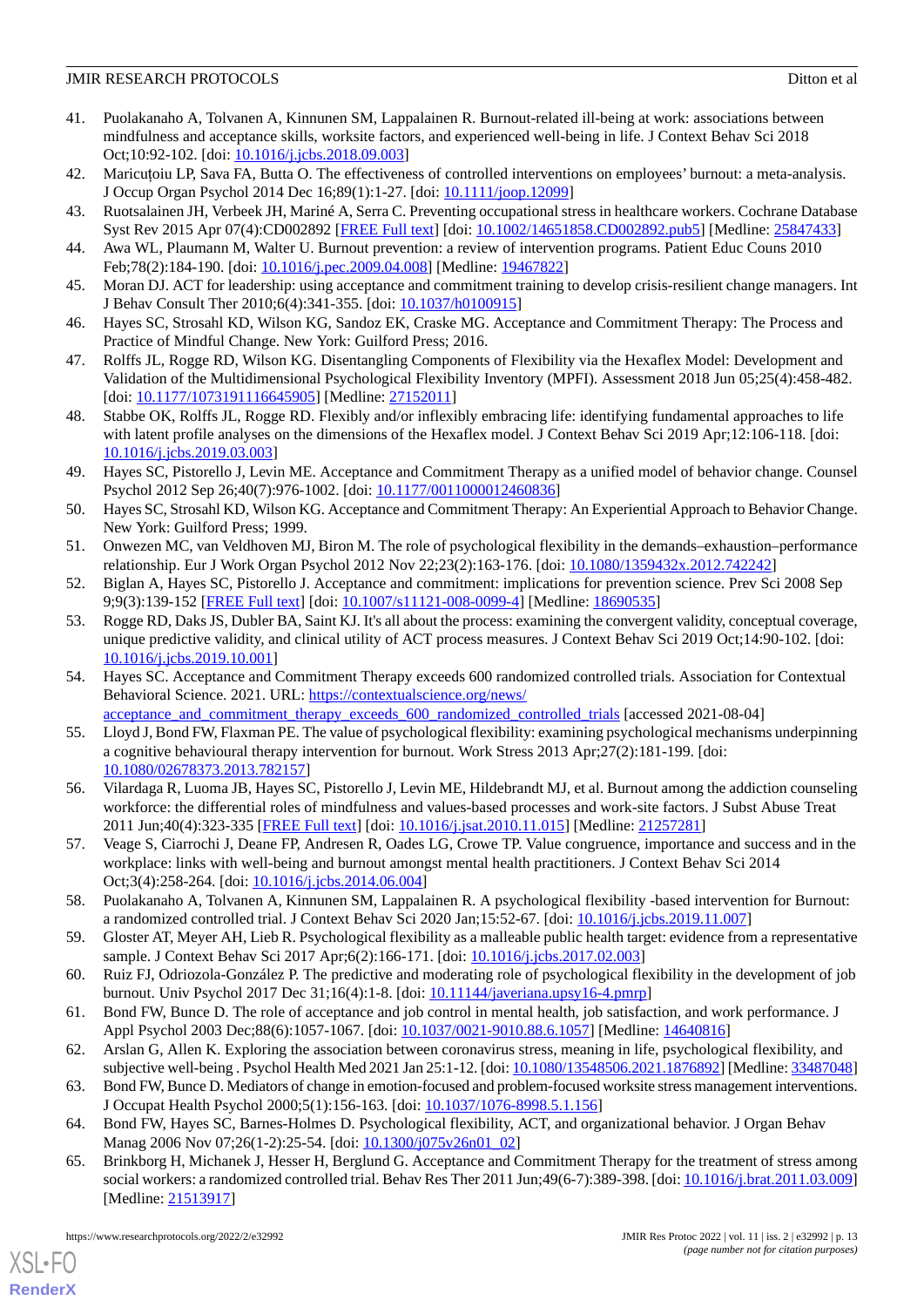- <span id="page-12-0"></span>41. Puolakanaho A, Tolvanen A, Kinnunen SM, Lappalainen R. Burnout-related ill-being at work: associations between mindfulness and acceptance skills, worksite factors, and experienced well-being in life. J Context Behav Sci 2018 Oct;10:92-102. [doi: [10.1016/j.jcbs.2018.09.003](http://dx.doi.org/10.1016/j.jcbs.2018.09.003)]
- <span id="page-12-2"></span><span id="page-12-1"></span>42. Maricuţoiu LP, Sava FA, Butta O. The effectiveness of controlled interventions on employees' burnout: a meta-analysis. J Occup Organ Psychol 2014 Dec 16;89(1):1-27. [doi: [10.1111/joop.12099](http://dx.doi.org/10.1111/joop.12099)]
- <span id="page-12-3"></span>43. Ruotsalainen JH, Verbeek JH, Mariné A, Serra C. Preventing occupational stress in healthcare workers. Cochrane Database Syst Rev 2015 Apr 07(4):CD002892 [\[FREE Full text\]](http://europepmc.org/abstract/MED/25847433) [doi: [10.1002/14651858.CD002892.pub5](http://dx.doi.org/10.1002/14651858.CD002892.pub5)] [Medline: [25847433\]](http://www.ncbi.nlm.nih.gov/entrez/query.fcgi?cmd=Retrieve&db=PubMed&list_uids=25847433&dopt=Abstract)
- <span id="page-12-4"></span>44. Awa WL, Plaumann M, Walter U. Burnout prevention: a review of intervention programs. Patient Educ Couns 2010 Feb;78(2):184-190. [doi: [10.1016/j.pec.2009.04.008](http://dx.doi.org/10.1016/j.pec.2009.04.008)] [Medline: [19467822](http://www.ncbi.nlm.nih.gov/entrez/query.fcgi?cmd=Retrieve&db=PubMed&list_uids=19467822&dopt=Abstract)]
- <span id="page-12-5"></span>45. Moran DJ. ACT for leadership: using acceptance and commitment training to develop crisis-resilient change managers. Int J Behav Consult Ther 2010;6(4):341-355. [doi: [10.1037/h0100915\]](http://dx.doi.org/10.1037/h0100915)
- <span id="page-12-7"></span>46. Hayes SC, Strosahl KD, Wilson KG, Sandoz EK, Craske MG. Acceptance and Commitment Therapy: The Process and Practice of Mindful Change. New York: Guilford Press; 2016.
- <span id="page-12-6"></span>47. Rolffs JL, Rogge RD, Wilson KG. Disentangling Components of Flexibility via the Hexaflex Model: Development and Validation of the Multidimensional Psychological Flexibility Inventory (MPFI). Assessment 2018 Jun 05;25(4):458-482. [doi: [10.1177/1073191116645905](http://dx.doi.org/10.1177/1073191116645905)] [Medline: [27152011\]](http://www.ncbi.nlm.nih.gov/entrez/query.fcgi?cmd=Retrieve&db=PubMed&list_uids=27152011&dopt=Abstract)
- <span id="page-12-8"></span>48. Stabbe OK, Rolffs JL, Rogge RD. Flexibly and/or inflexibly embracing life: identifying fundamental approaches to life with latent profile analyses on the dimensions of the Hexaflex model. J Context Behav Sci 2019 Apr;12:106-118. [doi: [10.1016/j.jcbs.2019.03.003\]](http://dx.doi.org/10.1016/j.jcbs.2019.03.003)
- <span id="page-12-9"></span>49. Hayes SC, Pistorello J, Levin ME. Acceptance and Commitment Therapy as a unified model of behavior change. Counsel Psychol 2012 Sep 26;40(7):976-1002. [doi: [10.1177/0011000012460836\]](http://dx.doi.org/10.1177/0011000012460836)
- <span id="page-12-21"></span><span id="page-12-10"></span>50. Hayes SC, Strosahl KD, Wilson KG. Acceptance and Commitment Therapy: An Experiential Approach to Behavior Change. New York: Guilford Press; 1999.
- <span id="page-12-11"></span>51. Onwezen MC, van Veldhoven MJ, Biron M. The role of psychological flexibility in the demands–exhaustion–performance relationship. Eur J Work Organ Psychol 2012 Nov 22;23(2):163-176. [doi: [10.1080/1359432x.2012.742242](http://dx.doi.org/10.1080/1359432x.2012.742242)]
- 52. Biglan A, Hayes SC, Pistorello J. Acceptance and commitment: implications for prevention science. Prev Sci 2008 Sep 9;9(3):139-152 [[FREE Full text](http://europepmc.org/abstract/MED/18690535)] [doi: [10.1007/s11121-008-0099-4\]](http://dx.doi.org/10.1007/s11121-008-0099-4) [Medline: [18690535](http://www.ncbi.nlm.nih.gov/entrez/query.fcgi?cmd=Retrieve&db=PubMed&list_uids=18690535&dopt=Abstract)]
- <span id="page-12-12"></span>53. Rogge RD, Daks JS, Dubler BA, Saint KJ. It's all about the process: examining the convergent validity, conceptual coverage, unique predictive validity, and clinical utility of ACT process measures. J Context Behav Sci 2019 Oct;14:90-102. [doi: [10.1016/j.jcbs.2019.10.001\]](http://dx.doi.org/10.1016/j.jcbs.2019.10.001)
- <span id="page-12-13"></span>54. Hayes SC. Acceptance and Commitment Therapy exceeds 600 randomized controlled trials. Association for Contextual Behavioral Science. 2021. URL: [https://contextualscience.org/news/](https://contextualscience.org/news/acceptance_and_commitment_therapy_exceeds_600_randomized_controlled_trials) acceptance and commitment therapy exceeds 600 randomized controlled trials [accessed 2021-08-04]
- <span id="page-12-18"></span>55. Lloyd J, Bond FW, Flaxman PE. The value of psychological flexibility: examining psychological mechanisms underpinning a cognitive behavioural therapy intervention for burnout. Work Stress 2013 Apr;27(2):181-199. [doi: [10.1080/02678373.2013.782157\]](http://dx.doi.org/10.1080/02678373.2013.782157)
- <span id="page-12-14"></span>56. Vilardaga R, Luoma JB, Hayes SC, Pistorello J, Levin ME, Hildebrandt MJ, et al. Burnout among the addiction counseling workforce: the differential roles of mindfulness and values-based processes and work-site factors. J Subst Abuse Treat 2011 Jun;40(4):323-335 [\[FREE Full text\]](http://europepmc.org/abstract/MED/21257281) [doi: [10.1016/j.jsat.2010.11.015\]](http://dx.doi.org/10.1016/j.jsat.2010.11.015) [Medline: [21257281\]](http://www.ncbi.nlm.nih.gov/entrez/query.fcgi?cmd=Retrieve&db=PubMed&list_uids=21257281&dopt=Abstract)
- <span id="page-12-15"></span>57. Veage S, Ciarrochi J, Deane FP, Andresen R, Oades LG, Crowe TP. Value congruence, importance and success and in the workplace: links with well-being and burnout amongst mental health practitioners. J Context Behav Sci 2014 Oct;3(4):258-264. [doi: [10.1016/j.jcbs.2014.06.004](http://dx.doi.org/10.1016/j.jcbs.2014.06.004)]
- <span id="page-12-17"></span><span id="page-12-16"></span>58. Puolakanaho A, Tolvanen A, Kinnunen SM, Lappalainen R. A psychological flexibility -based intervention for Burnout: a randomized controlled trial. J Context Behav Sci 2020 Jan;15:52-67. [doi: [10.1016/j.jcbs.2019.11.007](http://dx.doi.org/10.1016/j.jcbs.2019.11.007)]
- <span id="page-12-19"></span>59. Gloster AT, Meyer AH, Lieb R. Psychological flexibility as a malleable public health target: evidence from a representative sample. J Context Behav Sci 2017 Apr;6(2):166-171. [doi: [10.1016/j.jcbs.2017.02.003](http://dx.doi.org/10.1016/j.jcbs.2017.02.003)]
- <span id="page-12-20"></span>60. Ruiz FJ, Odriozola-González P. The predictive and moderating role of psychological flexibility in the development of job burnout. Univ Psychol 2017 Dec 31;16(4):1-8. [doi: [10.11144/javeriana.upsy16-4.pmrp\]](http://dx.doi.org/10.11144/javeriana.upsy16-4.pmrp)
- 61. Bond FW, Bunce D. The role of acceptance and job control in mental health, job satisfaction, and work performance. J Appl Psychol 2003 Dec;88(6):1057-1067. [doi: [10.1037/0021-9010.88.6.1057\]](http://dx.doi.org/10.1037/0021-9010.88.6.1057) [Medline: [14640816\]](http://www.ncbi.nlm.nih.gov/entrez/query.fcgi?cmd=Retrieve&db=PubMed&list_uids=14640816&dopt=Abstract)
- 62. Arslan G, Allen K. Exploring the association between coronavirus stress, meaning in life, psychological flexibility, and subjective well-being . Psychol Health Med 2021 Jan 25:1-12. [doi: [10.1080/13548506.2021.1876892\]](http://dx.doi.org/10.1080/13548506.2021.1876892) [Medline: [33487048\]](http://www.ncbi.nlm.nih.gov/entrez/query.fcgi?cmd=Retrieve&db=PubMed&list_uids=33487048&dopt=Abstract)
- 63. Bond FW, Bunce D. Mediators of change in emotion-focused and problem-focused worksite stress management interventions. J Occupat Health Psychol 2000;5(1):156-163. [doi: [10.1037/1076-8998.5.1.156](http://dx.doi.org/10.1037/1076-8998.5.1.156)]
- 64. Bond FW, Hayes SC, Barnes-Holmes D. Psychological flexibility, ACT, and organizational behavior. J Organ Behav Manag 2006 Nov 07;26(1-2):25-54. [doi: [10.1300/j075v26n01\\_02](http://dx.doi.org/10.1300/j075v26n01_02)]
- 65. Brinkborg H, Michanek J, Hesser H, Berglund G. Acceptance and Commitment Therapy for the treatment of stress among social workers: a randomized controlled trial. Behav Res Ther 2011 Jun;49(6-7):389-398. [doi: [10.1016/j.brat.2011.03.009](http://dx.doi.org/10.1016/j.brat.2011.03.009)] [Medline: [21513917](http://www.ncbi.nlm.nih.gov/entrez/query.fcgi?cmd=Retrieve&db=PubMed&list_uids=21513917&dopt=Abstract)]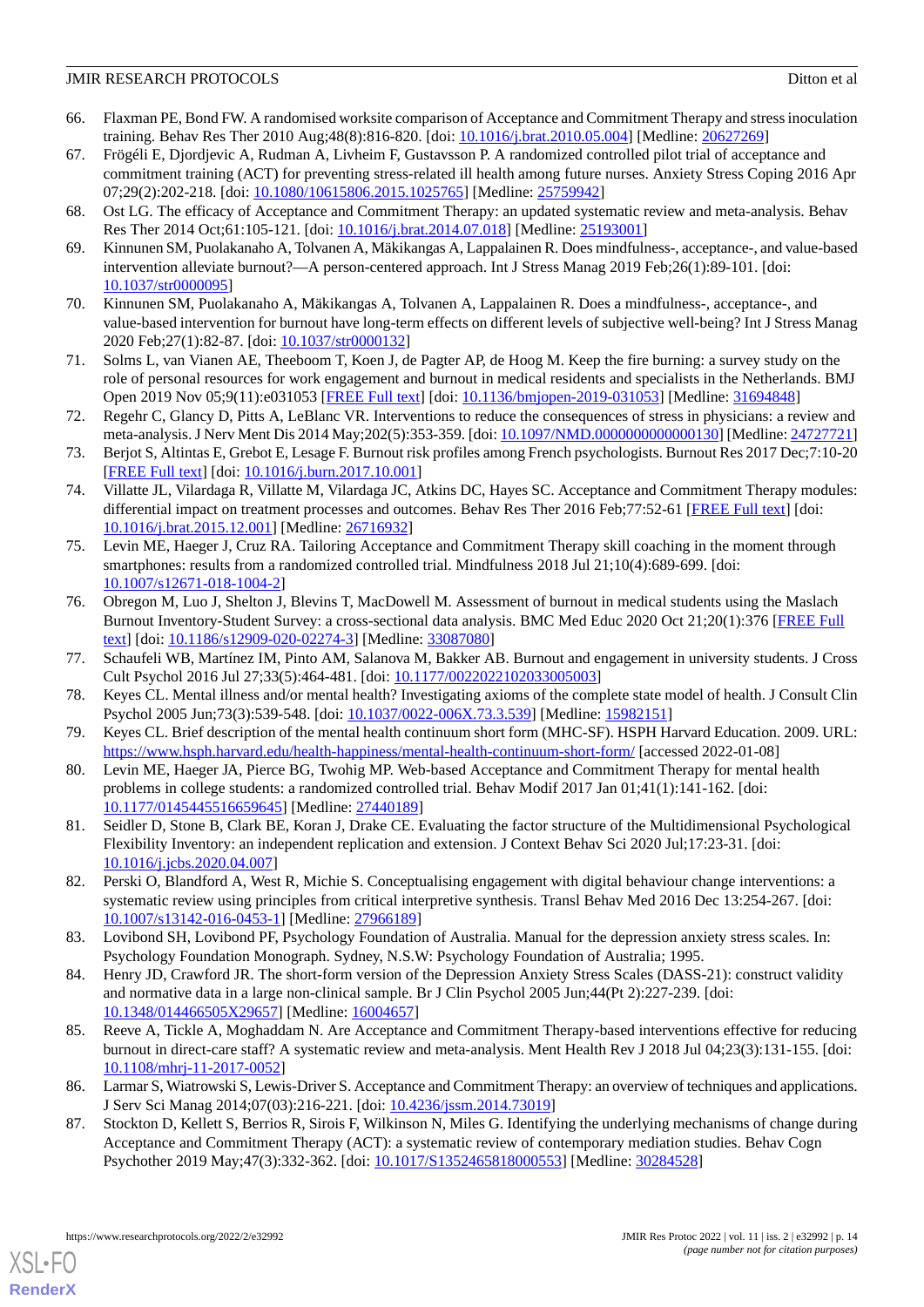- 66. Flaxman PE, Bond FW. A randomised worksite comparison of Acceptance and Commitment Therapy and stress inoculation training. Behav Res Ther 2010 Aug;48(8):816-820. [doi: [10.1016/j.brat.2010.05.004\]](http://dx.doi.org/10.1016/j.brat.2010.05.004) [Medline: [20627269](http://www.ncbi.nlm.nih.gov/entrez/query.fcgi?cmd=Retrieve&db=PubMed&list_uids=20627269&dopt=Abstract)]
- <span id="page-13-16"></span>67. Frögéli E, Djordjevic A, Rudman A, Livheim F, Gustavsson P. A randomized controlled pilot trial of acceptance and commitment training (ACT) for preventing stress-related ill health among future nurses. Anxiety Stress Coping 2016 Apr 07;29(2):202-218. [doi: [10.1080/10615806.2015.1025765\]](http://dx.doi.org/10.1080/10615806.2015.1025765) [Medline: [25759942](http://www.ncbi.nlm.nih.gov/entrez/query.fcgi?cmd=Retrieve&db=PubMed&list_uids=25759942&dopt=Abstract)]
- <span id="page-13-0"></span>68. Ost LG. The efficacy of Acceptance and Commitment Therapy: an updated systematic review and meta-analysis. Behav Res Ther 2014 Oct;61:105-121. [doi: [10.1016/j.brat.2014.07.018](http://dx.doi.org/10.1016/j.brat.2014.07.018)] [Medline: [25193001](http://www.ncbi.nlm.nih.gov/entrez/query.fcgi?cmd=Retrieve&db=PubMed&list_uids=25193001&dopt=Abstract)]
- <span id="page-13-1"></span>69. Kinnunen SM, Puolakanaho A, Tolvanen A, Mäkikangas A, Lappalainen R. Does mindfulness-, acceptance-, and value-based intervention alleviate burnout?—A person-centered approach. Int J Stress Manag 2019 Feb;26(1):89-101. [doi: [10.1037/str0000095\]](http://dx.doi.org/10.1037/str0000095)
- <span id="page-13-2"></span>70. Kinnunen SM, Puolakanaho A, Mäkikangas A, Tolvanen A, Lappalainen R. Does a mindfulness-, acceptance-, and value-based intervention for burnout have long-term effects on different levels of subjective well-being? Int J Stress Manag 2020 Feb;27(1):82-87. [doi: [10.1037/str0000132](http://dx.doi.org/10.1037/str0000132)]
- <span id="page-13-3"></span>71. Solms L, van Vianen AE, Theeboom T, Koen J, de Pagter AP, de Hoog M. Keep the fire burning: a survey study on the role of personal resources for work engagement and burnout in medical residents and specialists in the Netherlands. BMJ Open 2019 Nov 05;9(11):e031053 [\[FREE Full text\]](https://bmjopen.bmj.com/lookup/pmidlookup?view=long&pmid=31694848) [doi: [10.1136/bmjopen-2019-031053\]](http://dx.doi.org/10.1136/bmjopen-2019-031053) [Medline: [31694848\]](http://www.ncbi.nlm.nih.gov/entrez/query.fcgi?cmd=Retrieve&db=PubMed&list_uids=31694848&dopt=Abstract)
- <span id="page-13-4"></span>72. Regehr C, Glancy D, Pitts A, LeBlanc VR. Interventions to reduce the consequences of stress in physicians: a review and meta-analysis. J Nerv Ment Dis 2014 May;202(5):353-359. [doi: [10.1097/NMD.0000000000000130](http://dx.doi.org/10.1097/NMD.0000000000000130)] [Medline: [24727721](http://www.ncbi.nlm.nih.gov/entrez/query.fcgi?cmd=Retrieve&db=PubMed&list_uids=24727721&dopt=Abstract)]
- <span id="page-13-5"></span>73. Berjot S, Altintas E, Grebot E, Lesage F. Burnout risk profiles among French psychologists. Burnout Res 2017 Dec;7:10-20 [[FREE Full text](https://doi.org/10.1016/j.burn.2017.10.001)] [doi: [10.1016/j.burn.2017.10.001\]](http://dx.doi.org/10.1016/j.burn.2017.10.001)
- <span id="page-13-6"></span>74. Villatte JL, Vilardaga R, Villatte M, Vilardaga JC, Atkins DC, Hayes SC. Acceptance and Commitment Therapy modules: differential impact on treatment processes and outcomes. Behav Res Ther 2016 Feb;77:52-61 [[FREE Full text](http://europepmc.org/abstract/MED/26716932)] [doi: [10.1016/j.brat.2015.12.001](http://dx.doi.org/10.1016/j.brat.2015.12.001)] [Medline: [26716932\]](http://www.ncbi.nlm.nih.gov/entrez/query.fcgi?cmd=Retrieve&db=PubMed&list_uids=26716932&dopt=Abstract)
- <span id="page-13-7"></span>75. Levin ME, Haeger J, Cruz RA. Tailoring Acceptance and Commitment Therapy skill coaching in the moment through smartphones: results from a randomized controlled trial. Mindfulness 2018 Jul 21;10(4):689-699. [doi: [10.1007/s12671-018-1004-2\]](http://dx.doi.org/10.1007/s12671-018-1004-2)
- <span id="page-13-9"></span><span id="page-13-8"></span>76. Obregon M, Luo J, Shelton J, Blevins T, MacDowell M. Assessment of burnout in medical students using the Maslach Burnout Inventory-Student Survey: a cross-sectional data analysis. BMC Med Educ 2020 Oct 21;20(1):376 [\[FREE Full](https://bmcmededuc.biomedcentral.com/articles/10.1186/s12909-020-02274-3) [text](https://bmcmededuc.biomedcentral.com/articles/10.1186/s12909-020-02274-3)] [doi: [10.1186/s12909-020-02274-3\]](http://dx.doi.org/10.1186/s12909-020-02274-3) [Medline: [33087080\]](http://www.ncbi.nlm.nih.gov/entrez/query.fcgi?cmd=Retrieve&db=PubMed&list_uids=33087080&dopt=Abstract)
- <span id="page-13-10"></span>77. Schaufeli WB, Martínez IM, Pinto AM, Salanova M, Bakker AB. Burnout and engagement in university students. J Cross Cult Psychol 2016 Jul 27;33(5):464-481. [doi: [10.1177/0022022102033005003](http://dx.doi.org/10.1177/0022022102033005003)]
- <span id="page-13-11"></span>78. Keyes CL. Mental illness and/or mental health? Investigating axioms of the complete state model of health. J Consult Clin Psychol 2005 Jun;73(3):539-548. [doi: [10.1037/0022-006X.73.3.539](http://dx.doi.org/10.1037/0022-006X.73.3.539)] [Medline: [15982151](http://www.ncbi.nlm.nih.gov/entrez/query.fcgi?cmd=Retrieve&db=PubMed&list_uids=15982151&dopt=Abstract)]
- <span id="page-13-12"></span>79. Keyes CL. Brief description of the mental health continuum short form (MHC-SF). HSPH Harvard Education. 2009. URL: <https://www.hsph.harvard.edu/health-happiness/mental-health-continuum-short-form/> [accessed 2022-01-08]
- <span id="page-13-13"></span>80. Levin ME, Haeger JA, Pierce BG, Twohig MP. Web-based Acceptance and Commitment Therapy for mental health problems in college students: a randomized controlled trial. Behav Modif 2017 Jan 01;41(1):141-162. [doi: [10.1177/0145445516659645\]](http://dx.doi.org/10.1177/0145445516659645) [Medline: [27440189\]](http://www.ncbi.nlm.nih.gov/entrez/query.fcgi?cmd=Retrieve&db=PubMed&list_uids=27440189&dopt=Abstract)
- <span id="page-13-14"></span>81. Seidler D, Stone B, Clark BE, Koran J, Drake CE. Evaluating the factor structure of the Multidimensional Psychological Flexibility Inventory: an independent replication and extension. J Context Behav Sci 2020 Jul;17:23-31. [doi: [10.1016/j.jcbs.2020.04.007\]](http://dx.doi.org/10.1016/j.jcbs.2020.04.007)
- <span id="page-13-15"></span>82. Perski O, Blandford A, West R, Michie S. Conceptualising engagement with digital behaviour change interventions: a systematic review using principles from critical interpretive synthesis. Transl Behav Med 2016 Dec 13:254-267. [doi: [10.1007/s13142-016-0453-1\]](http://dx.doi.org/10.1007/s13142-016-0453-1) [Medline: [27966189](http://www.ncbi.nlm.nih.gov/entrez/query.fcgi?cmd=Retrieve&db=PubMed&list_uids=27966189&dopt=Abstract)]
- <span id="page-13-17"></span>83. Lovibond SH, Lovibond PF, Psychology Foundation of Australia. Manual for the depression anxiety stress scales. In: Psychology Foundation Monograph. Sydney, N.S.W: Psychology Foundation of Australia; 1995.
- <span id="page-13-18"></span>84. Henry JD, Crawford JR. The short-form version of the Depression Anxiety Stress Scales (DASS-21): construct validity and normative data in a large non-clinical sample. Br J Clin Psychol 2005 Jun;44(Pt 2):227-239. [doi: [10.1348/014466505X29657](http://dx.doi.org/10.1348/014466505X29657)] [Medline: [16004657\]](http://www.ncbi.nlm.nih.gov/entrez/query.fcgi?cmd=Retrieve&db=PubMed&list_uids=16004657&dopt=Abstract)
- <span id="page-13-19"></span>85. Reeve A, Tickle A, Moghaddam N. Are Acceptance and Commitment Therapy-based interventions effective for reducing burnout in direct-care staff? A systematic review and meta-analysis. Ment Health Rev J 2018 Jul 04;23(3):131-155. [doi: [10.1108/mhrj-11-2017-0052\]](http://dx.doi.org/10.1108/mhrj-11-2017-0052)
- 86. Larmar S, Wiatrowski S, Lewis-Driver S. Acceptance and Commitment Therapy: an overview of techniques and applications. J Serv Sci Manag 2014;07(03):216-221. [doi: [10.4236/jssm.2014.73019\]](http://dx.doi.org/10.4236/jssm.2014.73019)
- 87. Stockton D, Kellett S, Berrios R, Sirois F, Wilkinson N, Miles G. Identifying the underlying mechanisms of change during Acceptance and Commitment Therapy (ACT): a systematic review of contemporary mediation studies. Behav Cogn Psychother 2019 May;47(3):332-362. [doi: [10.1017/S1352465818000553](http://dx.doi.org/10.1017/S1352465818000553)] [Medline: [30284528\]](http://www.ncbi.nlm.nih.gov/entrez/query.fcgi?cmd=Retrieve&db=PubMed&list_uids=30284528&dopt=Abstract)